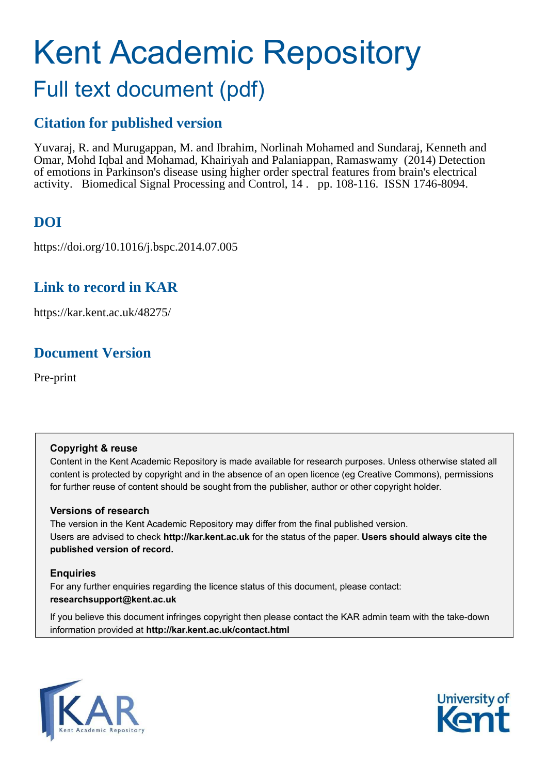# Kent Academic Repository Full text document (pdf)

# **Citation for published version**

Yuvaraj, R. and Murugappan, M. and Ibrahim, Norlinah Mohamed and Sundaraj, Kenneth and Omar, Mohd Iqbal and Mohamad, Khairiyah and Palaniappan, Ramaswamy (2014) Detection of emotions in Parkinson's disease using higher order spectral features from brain's electrical activity. Biomedical Signal Processing and Control, 14 . pp. 108-116. ISSN 1746-8094.

# **DOI**

https://doi.org/10.1016/j.bspc.2014.07.005

# **Link to record in KAR**

https://kar.kent.ac.uk/48275/

# **Document Version**

Pre-print

# **Copyright & reuse**

Content in the Kent Academic Repository is made available for research purposes. Unless otherwise stated all content is protected by copyright and in the absence of an open licence (eg Creative Commons), permissions for further reuse of content should be sought from the publisher, author or other copyright holder.

# **Versions of research**

The version in the Kent Academic Repository may differ from the final published version. Users are advised to check **http://kar.kent.ac.uk** for the status of the paper. **Users should always cite the published version of record.**

# **Enquiries**

For any further enquiries regarding the licence status of this document, please contact: **researchsupport@kent.ac.uk**

If you believe this document infringes copyright then please contact the KAR admin team with the take-down information provided at **http://kar.kent.ac.uk/contact.html**



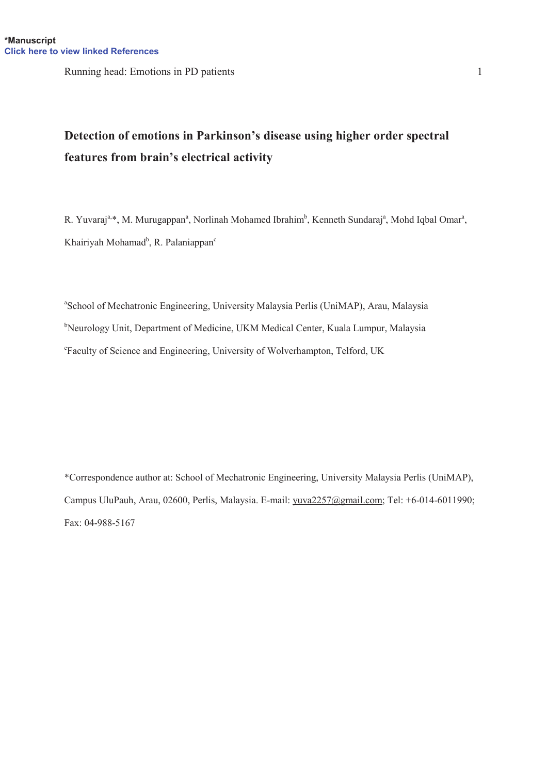Running head: Emotions in PD patients 1

# **Detection of emotions in Parkinson's disease using higher order spectral** features from brain's electrical activity

R. Yuvaraj<sup>a,\*</sup>, M. Murugappan<sup>a</sup>, Norlinah Mohamed Ibrahim<sup>b</sup>, Kenneth Sundaraj<sup>a</sup>, Mohd Iqbal Omar<sup>a</sup>, Khairiyah Mohamad<sup>b</sup>, R. Palaniappan<sup>c</sup>

<sup>a</sup>School of Mechatronic Engineering, University Malaysia Perlis (UniMAP), Arau, Malaysia <sup>b</sup>Neurology Unit, Department of Medicine, UKM Medical Center, Kuala Lumpur, Malaysia <sup>c</sup>Faculty of Science and Engineering, University of Wolverhampton, Telford, UK

> 16 \*Correspondence author at: School of Mechatronic Engineering, University Malaysia Perlis (UniMAP), 17 Campus UluPauh, Arau, 02600, Perlis, Malaysia. E-mail: yuva2257@gmail.com; Tel: +6-014-6011990; Fax: 04-988-5167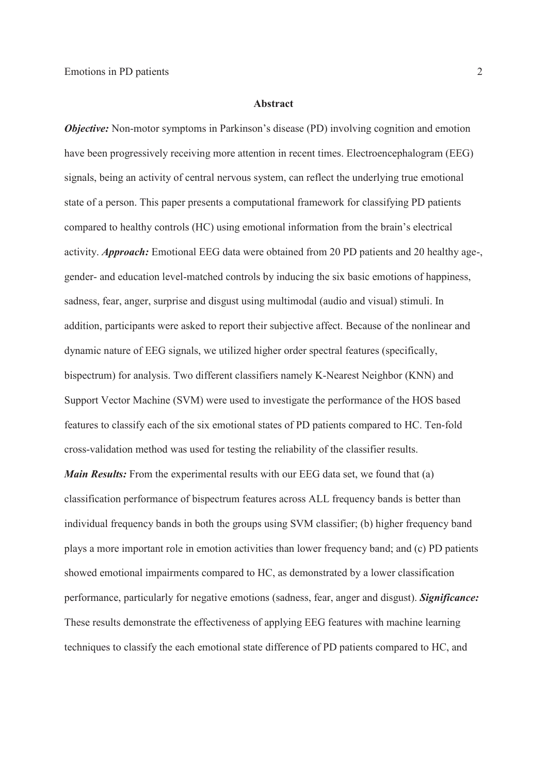## 1 **Abstract**

*Objective:* Non-motor symptoms in Parkinson's disease (PD) involving cognition and emotion have been progressively receiving more attention in recent times. Electroencephalogram (EEG) signals, being an activity of central nervous system, can reflect the underlying true emotional 5 state of a person. This paper presents a computational framework for classifying PD patients compared to healthy controls (HC) using emotional information from the brain's electrical 7 activity. *Approach:* Emotional EEG data were obtained from 20 PD patients and 20 healthy age-, gender- and education level-matched controls by inducing the six basic emotions of happiness, sadness, fear, anger, surprise and disgust using multimodal (audio and visual) stimuli. In addition, participants were asked to report their subjective affect. Because of the nonlinear and dynamic nature of EEG signals, we utilized higher order spectral features (specifically, bispectrum) for analysis. Two different classifiers namely K-Nearest Neighbor (KNN) and 13 Support Vector Machine (SVM) were used to investigate the performance of the HOS based features to classify each of the six emotional states of PD patients compared to HC. Ten-fold 15 cross-validation method was used for testing the reliability of the classifier results.

*Main Results:* From the experimental results with our EEG data set, we found that (a) classification performance of bispectrum features across ALL frequency bands is better than individual frequency bands in both the groups using SVM classifier; (b) higher frequency band plays a more important role in emotion activities than lower frequency band; and (c) PD patients showed emotional impairments compared to HC, as demonstrated by a lower classification performance, particularly for negative emotions (sadness, fear, anger and disgust). *Significance:* These results demonstrate the effectiveness of applying EEG features with machine learning techniques to classify the each emotional state difference of PD patients compared to HC, and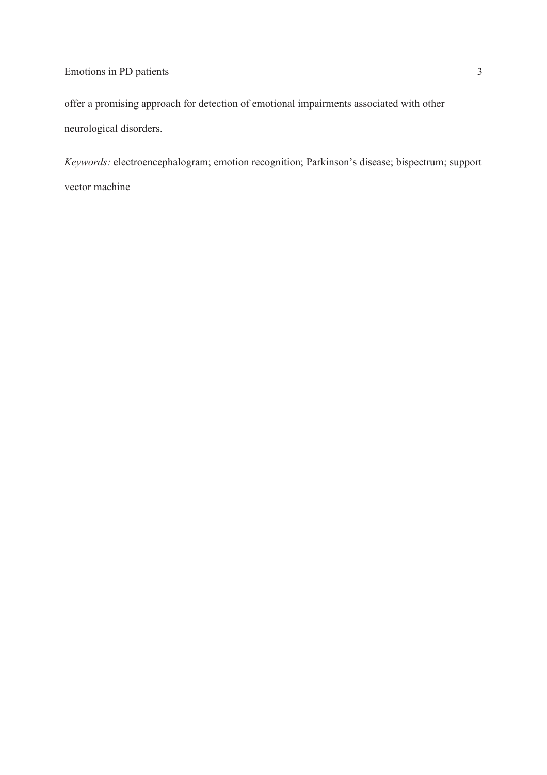# Emotions in PD patients 3

1 offer a promising approach for detection of emotional impairments associated with other neurological disorders.

Keywords: electroencephalogram; emotion recognition; Parkinson's disease; bispectrum; support vector machine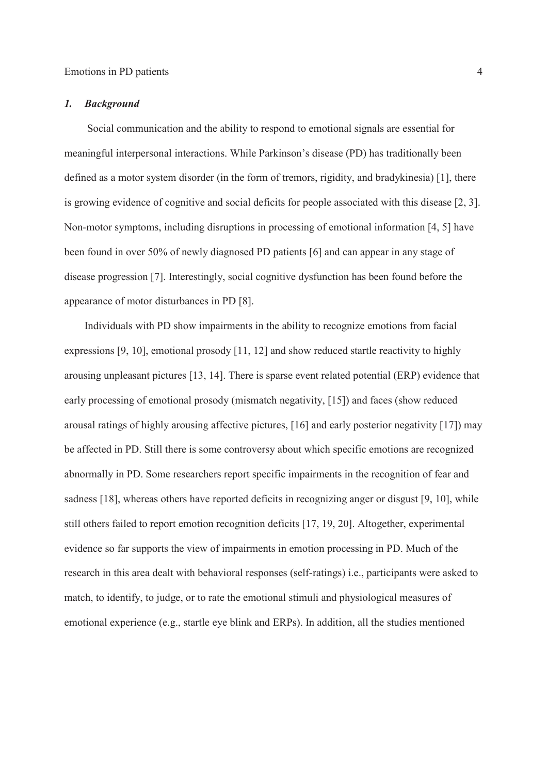#### 1 *1. Background*

2 Social communication and the ability to respond to emotional signals are essential for meaningful interpersonal interactions. While Parkinson's disease (PD) has traditionally been defined as a motor system disorder (in the form of tremors, rigidity, and bradykinesia) [1], there 5 is growing evidence of cognitive and social deficits for people associated with this disease [2, 3]. 6 Non-motor symptoms, including disruptions in processing of emotional information [4, 5] have been found in over 50% of newly diagnosed PD patients [6] and can appear in any stage of disease progression [7]. Interestingly, social cognitive dysfunction has been found before the appearance of motor disturbances in PD [8].

10 Individuals with PD show impairments in the ability to recognize emotions from facial expressions  $[9, 10]$ , emotional prosody  $[11, 12]$  and show reduced startle reactivity to highly arousing unpleasant pictures [13, 14]. There is sparse event related potential (ERP) evidence that 13 early processing of emotional prosody (mismatch negativity, [15]) and faces (show reduced arousal ratings of highly arousing affective pictures, [16] and early posterior negativity [17]) may 15 be affected in PD. Still there is some controversy about which specific emotions are recognized abnormally in PD. Some researchers report specific impairments in the recognition of fear and sadness [18], whereas others have reported deficits in recognizing anger or disgust [9, 10], while 18 still others failed to report emotion recognition deficits [17, 19, 20]. Altogether, experimental evidence so far supports the view of impairments in emotion processing in PD. Much of the 20 research in this area dealt with behavioral responses (self-ratings) i.e., participants were asked to match, to identify, to judge, or to rate the emotional stimuli and physiological measures of 22 emotional experience (e.g., startle eye blink and ERPs). In addition, all the studies mentioned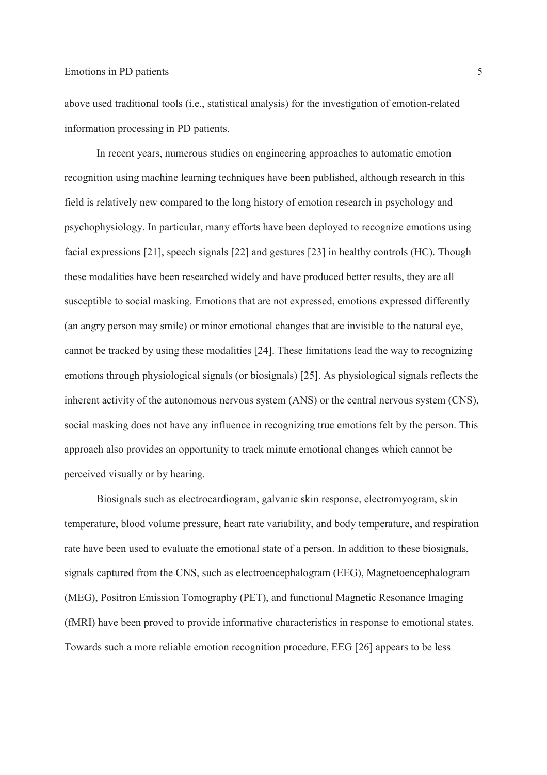#### Emotions in PD patients 5

1 above used traditional tools (i.e., statistical analysis) for the investigation of emotion-related 2 information processing in PD patients.

In recent years, numerous studies on engineering approaches to automatic emotion recognition using machine learning techniques have been published, although research in this 5 field is relatively new compared to the long history of emotion research in psychology and 6 psychophysiology. In particular, many efforts have been deployed to recognize emotions using facial expressions [21], speech signals [22] and gestures [23] in healthy controls (HC). Though these modalities have been researched widely and have produced better results, they are all susceptible to social masking. Emotions that are not expressed, emotions expressed differently 10 (an angry person may smile) or minor emotional changes that are invisible to the natural eye, 11 cannot be tracked by using these modalities [24]. These limitations lead the way to recognizing 12 emotions through physiological signals (or biosignals) [25]. As physiological signals reflects the inherent activity of the autonomous nervous system (ANS) or the central nervous system (CNS), social masking does not have any influence in recognizing true emotions felt by the person. This 15 approach also provides an opportunity to track minute emotional changes which cannot be perceived visually or by hearing.

17 Biosignals such as electrocardiogram, galvanic skin response, electromyogram, skin 18 temperature, blood volume pressure, heart rate variability, and body temperature, and respiration rate have been used to evaluate the emotional state of a person. In addition to these biosignals, signals captured from the CNS, such as electroencephalogram (EEG), Magnetoencephalogram (MEG), Positron Emission Tomography (PET), and functional Magnetic Resonance Imaging 22 (fMRI) have been proved to provide informative characteristics in response to emotional states. 23 Towards such a more reliable emotion recognition procedure, EEG [26] appears to be less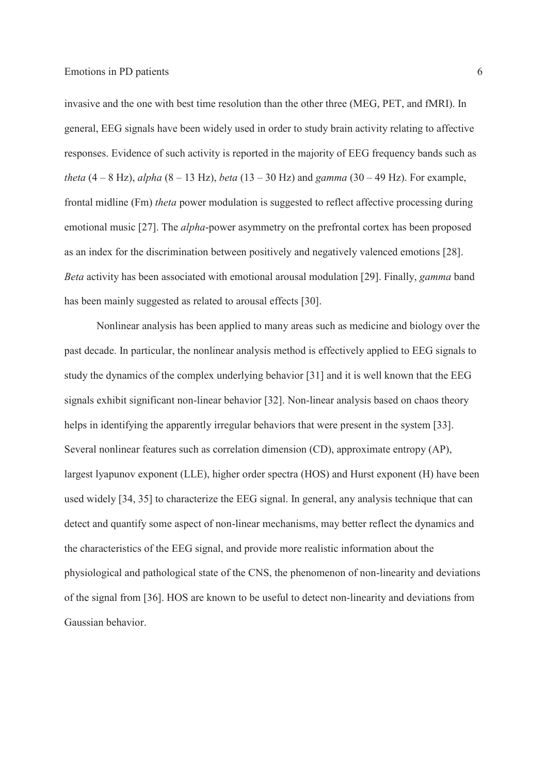Emotions in PD patients 6

invasive and the one with best time resolution than the other three (MEG, PET, and fMRI). In 2 general, EEG signals have been widely used in order to study brain activity relating to affective 3 responses. Evidence of such activity is reported in the majority of EEG frequency bands such as *theta*  $(4 - 8$  Hz), *alpha*  $(8 - 13$  Hz), *beta*  $(13 - 30$  Hz) and *gamma*  $(30 - 49$  Hz). For example, 5 frontal midline (Fm) *theta* power modulation is suggested to reflect affective processing during 6 emotional music [27]. The *alpha*-power asymmetry on the prefrontal cortex has been proposed as an index for the discrimination between positively and negatively valenced emotions [28]. 8 *Beta* activity has been associated with emotional arousal modulation [29]. Finally, *gamma* band has been mainly suggested as related to arousal effects [30].

10 Nonlinear analysis has been applied to many areas such as medicine and biology over the past decade. In particular, the nonlinear analysis method is effectively applied to EEG signals to study the dynamics of the complex underlying behavior [31] and it is well known that the EEG signals exhibit significant non-linear behavior [32]. Non-linear analysis based on chaos theory helps in identifying the apparently irregular behaviors that were present in the system [33]. 15 Several nonlinear features such as correlation dimension (CD), approximate entropy (AP), largest lyapunov exponent (LLE), higher order spectra (HOS) and Hurst exponent (H) have been 17 used widely [34, 35] to characterize the EEG signal. In general, any analysis technique that can 18 detect and quantify some aspect of non-linear mechanisms, may better reflect the dynamics and 19 the characteristics of the EEG signal, and provide more realistic information about the 20 physiological and pathological state of the CNS, the phenomenon of non-linearity and deviations 21 of the signal from [36]. HOS are known to be useful to detect non-linearity and deviations from Gaussian behavior.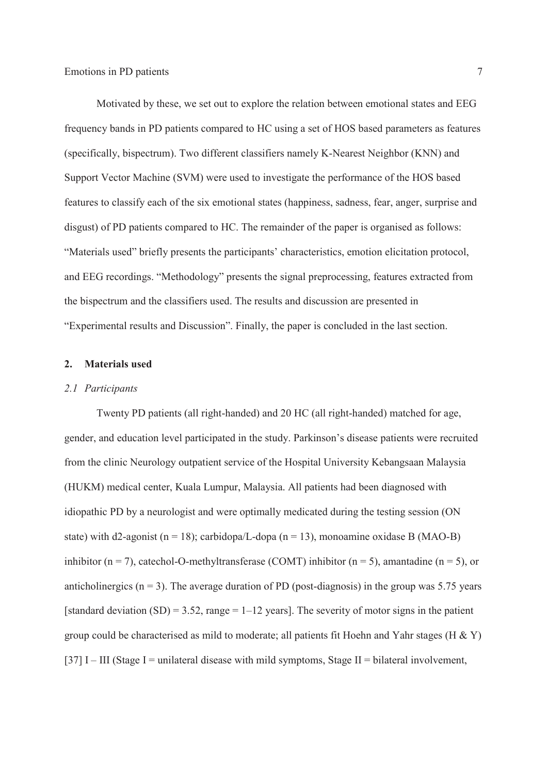1 Motivated by these, we set out to explore the relation between emotional states and EEG 2 frequency bands in PD patients compared to HC using a set of HOS based parameters as features 3 (specifically, bispectrum). Two different classifiers namely K-Nearest Neighbor (KNN) and Support Vector Machine (SVM) were used to investigate the performance of the HOS based 5 features to classify each of the six emotional states (happiness, sadness, fear, anger, surprise and disgust) of PD patients compared to HC. The remainder of the paper is organised as follows: "Materials used" briefly presents the participants' characteristics, emotion elicitation protocol, and EEG recordings. "Methodology" presents the signal preprocessing, features extracted from 9 the bispectrum and the classifiers used. The results and discussion are presented in "Experimental results and Discussion". Finally, the paper is concluded in the last section.

#### 12 **2. Materials used**

#### 13 *2.1 Participants*

Twenty PD patients (all right-handed) and 20 HC (all right-handed) matched for age, gender, and education level participated in the study. Parkinson's disease patients were recruited 16 from the clinic Neurology outpatient service of the Hospital University Kebangsaan Malaysia 17 (HUKM) medical center, Kuala Lumpur, Malaysia. All patients had been diagnosed with idiopathic PD by a neurologist and were optimally medicated during the testing session (ON state) with d2-agonist (n = 18); carbidopa/L-dopa (n = 13), monoamine oxidase B (MAO-B) inhibitor (n = 7), catechol-O-methyltransferase (COMT) inhibitor (n = 5), amantadine (n = 5), or anticholinergics ( $n = 3$ ). The average duration of PD (post-diagnosis) in the group was 5.75 years [standard deviation (SD) = 3.52, range =  $1-12$  years]. The severity of motor signs in the patient group could be characterised as mild to moderate; all patients fit Hoehn and Yahr stages (H  $\&$  Y)  $[37] I - III$  (Stage I = unilateral disease with mild symptoms, Stage II = bilateral involvement,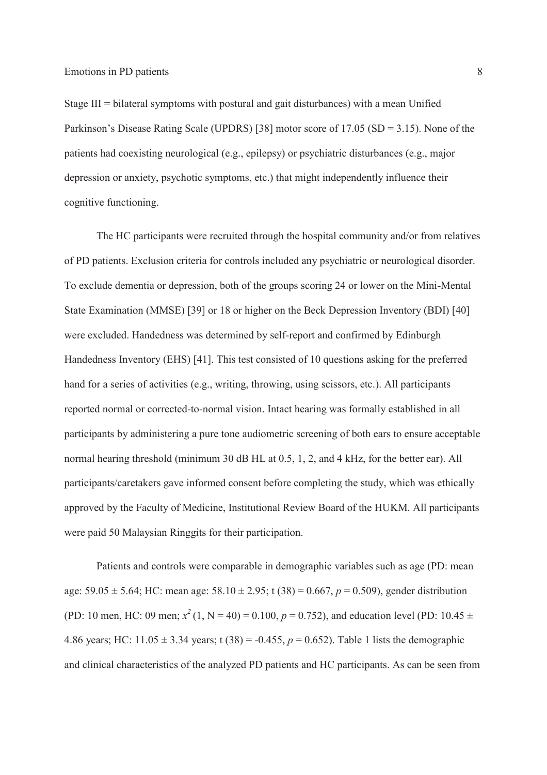Stage III = bilateral symptoms with postural and gait disturbances) with a mean Unified Parkinson's Disease Rating Scale (UPDRS) [38] motor score of  $17.05$  (SD = 3.15). None of the 3 patients had coexisting neurological (e.g., epilepsy) or psychiatric disturbances (e.g., major 4 depression or anxiety, psychotic symptoms, etc.) that might independently influence their cognitive functioning.

The HC participants were recruited through the hospital community and/or from relatives 7 of PD patients. Exclusion criteria for controls included any psychiatric or neurological disorder. 8 To exclude dementia or depression, both of the groups scoring 24 or lower on the Mini-Mental State Examination (MMSE) [39] or 18 or higher on the Beck Depression Inventory (BDI) [40] were excluded. Handedness was determined by self-report and confirmed by Edinburgh Handedness Inventory (EHS) [41]. This test consisted of 10 questions asking for the preferred hand for a series of activities (e.g., writing, throwing, using scissors, etc.). All participants 13 reported normal or corrected-to-normal vision. Intact hearing was formally established in all 14 participants by administering a pure tone audiometric screening of both ears to ensure acceptable normal hearing threshold (minimum 30 dB HL at 0.5, 1, 2, and 4 kHz, for the better ear). All participants/caretakers gave informed consent before completing the study, which was ethically approved by the Faculty of Medicine, Institutional Review Board of the HUKM. All participants were paid 50 Malaysian Ringgits for their participation.

Patients and controls were comparable in demographic variables such as age (PD: mean age:  $59.05 \pm 5.64$ ; HC: mean age:  $58.10 \pm 2.95$ ; t (38) = 0.667, *p* = 0.509), gender distribution (PD: 10 men, HC: 09 men;  $x^2(1, N = 40) = 0.100$ ,  $p = 0.752$ ), and education level (PD: 10.45  $\pm$ 4.86 years; HC:  $11.05 \pm 3.34$  years; t (38) = -0.455, *p* = 0.652). Table 1 lists the demographic 23 and clinical characteristics of the analyzed PD patients and HC participants. As can be seen from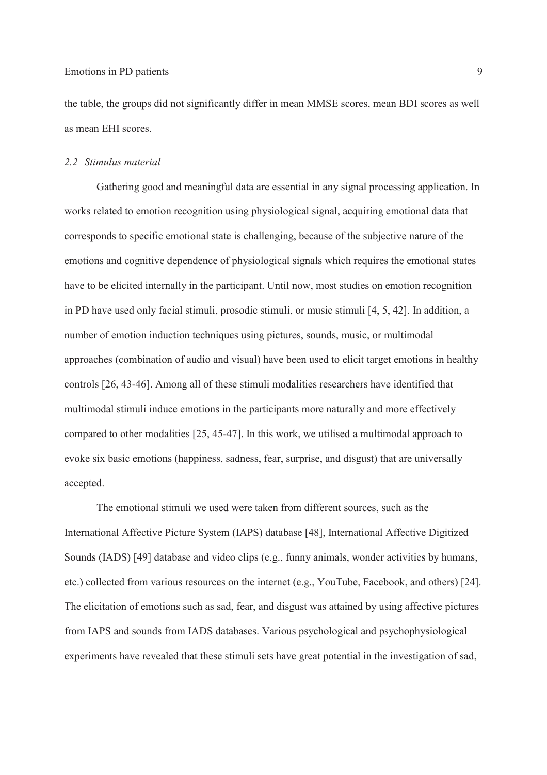the table, the groups did not significantly differ in mean MMSE scores, mean BDI scores as well as mean EHI scores.

#### *2.2 Stimulus material*

Gathering good and meaningful data are essential in any signal processing application. In works related to emotion recognition using physiological signal, acquiring emotional data that corresponds to specific emotional state is challenging, because of the subjective nature of the emotions and cognitive dependence of physiological signals which requires the emotional states have to be elicited internally in the participant. Until now, most studies on emotion recognition in PD have used only facial stimuli, prosodic stimuli, or music stimuli [4, 5, 42]. In addition, a number of emotion induction techniques using pictures, sounds, music, or multimodal approaches (combination of audio and visual) have been used to elicit target emotions in healthy controls [26, 43-46]. Among all of these stimuli modalities researchers have identified that multimodal stimuli induce emotions in the participants more naturally and more effectively compared to other modalities [25, 45-47]. In this work, we utilised a multimodal approach to evoke six basic emotions (happiness, sadness, fear, surprise, and disgust) that are universally accepted.

The emotional stimuli we used were taken from different sources, such as the International Affective Picture System (IAPS) database [48], International Affective Digitized Sounds (IADS) [49] database and video clips (e.g., funny animals, wonder activities by humans, etc.) collected from various resources on the internet (e.g., YouTube, Facebook, and others) [24]. The elicitation of emotions such as sad, fear, and disgust was attained by using affective pictures from IAPS and sounds from IADS databases. Various psychological and psychophysiological experiments have revealed that these stimuli sets have great potential in the investigation of sad,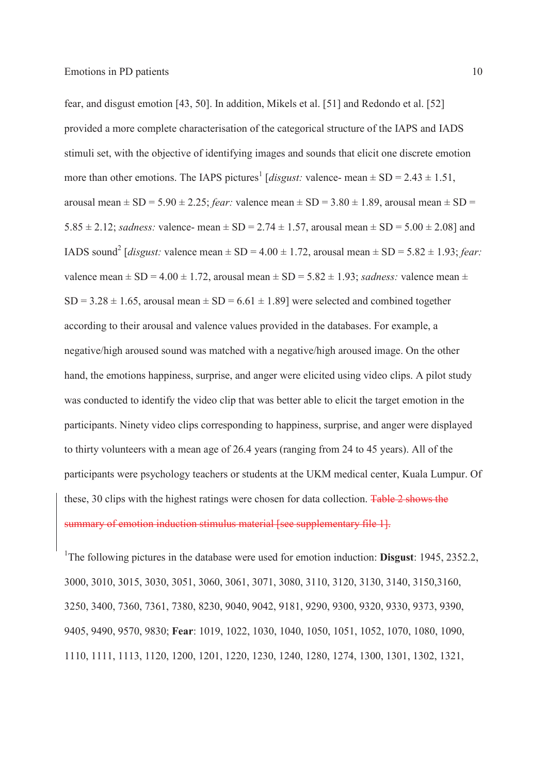fear, and disgust emotion [43, 50]. In addition, Mikels et al. [51] and Redondo et al. [52] 2 provided a more complete characterisation of the categorical structure of the IAPS and IADS 3 stimuli set, with the objective of identifying images and sounds that elicit one discrete emotion more than other emotions. The IAPS pictures<sup>1</sup> [*disgust:* valence- mean  $\pm$  SD = 2.43  $\pm$  1.51, arousal mean  $\pm$  SD = 5.90  $\pm$  2.25; *fear*: valence mean  $\pm$  SD = 3.80  $\pm$  1.89, arousal mean  $\pm$  SD = 5.85  $\pm$  2.12; *sadness*: valence- mean  $\pm$  SD = 2.74  $\pm$  1.57, arousal mean  $\pm$  SD = 5.00  $\pm$  2.08] and IADS sound<sup>2</sup> [*disgust:* valence mean  $\pm$  SD = 4.00  $\pm$  1.72, arousal mean  $\pm$  SD = 5.82  $\pm$  1.93; *fear*: valence mean  $\pm$  SD = 4.00  $\pm$  1.72, arousal mean  $\pm$  SD = 5.82  $\pm$  1.93; *sadness:* valence mean  $\pm$  $SD = 3.28 \pm 1.65$ , arousal mean  $\pm SD = 6.61 \pm 1.89$ ] were selected and combined together according to their arousal and valence values provided in the databases. For example, a 11 negative/high aroused sound was matched with a negative/high aroused image. On the other hand, the emotions happiness, surprise, and anger were elicited using video clips. A pilot study was conducted to identify the video clip that was better able to elicit the target emotion in the participants. Ninety video clips corresponding to happiness, surprise, and anger were displayed 15 to thirty volunteers with a mean age of 26.4 years (ranging from 24 to 45 years). All of the participants were psychology teachers or students at the UKM medical center, Kuala Lumpur. Of these, 30 clips with the highest ratings were chosen for data collection. Table 2 shows the summary of emotion induction stimulus material [see supplementary file 1].

<sup>1</sup>The following pictures in the database were used for emotion induction: **Disgust**: 1945, 2352.2, 3000, 3010, 3015, 3030, 3051, 3060, 3061, 3071, 3080, 3110, 3120, 3130, 3140, 3150,3160, 3250, 3400, 7360, 7361, 7380, 8230, 9040, 9042, 9181, 9290, 9300, 9320, 9330, 9373, 9390, 9405, 9490, 9570, 9830; **Fear**: 1019, 1022, 1030, 1040, 1050, 1051, 1052, 1070, 1080, 1090, 1110, 1111, 1113, 1120, 1200, 1201, 1220, 1230, 1240, 1280, 1274, 1300, 1301, 1302, 1321,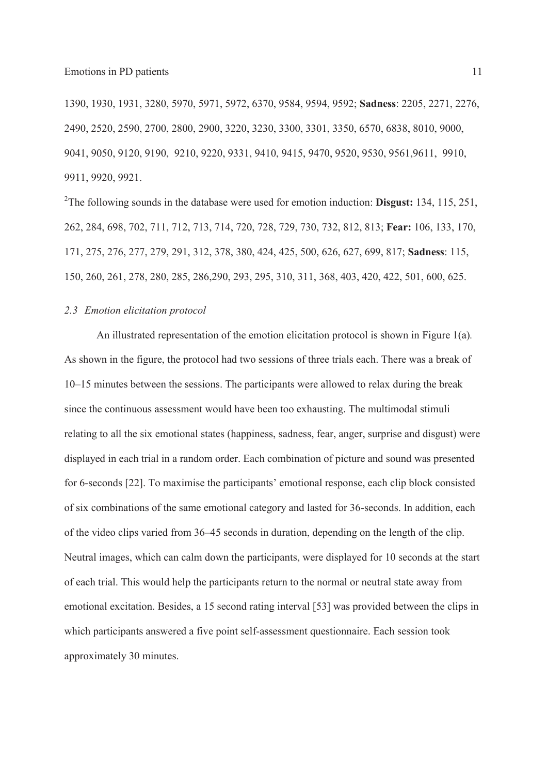1390, 1930, 1931, 3280, 5970, 5971, 5972, 6370, 9584, 9594, 9592; **Sadness**: 2205, 2271, 2276, 2490, 2520, 2590, 2700, 2800, 2900, 3220, 3230, 3300, 3301, 3350, 6570, 6838, 8010, 9000, 9041, 9050, 9120, 9190, 9210, 9220, 9331, 9410, 9415, 9470, 9520, 9530, 9561,9611, 9910, 9911, 9920, 9921.

<sup>2</sup>The following sounds in the database were used for emotion induction: **Disgust:** 134, 115, 251, 262, 284, 698, 702, 711, 712, 713, 714, 720, 728, 729, 730, 732, 812, 813; **Fear:** 106, 133, 170, 171, 275, 276, 277, 279, 291, 312, 378, 380, 424, 425, 500, 626, 627, 699, 817; **Sadness**: 115, 150, 260, 261, 278, 280, 285, 286,290, 293, 295, 310, 311, 368, 403, 420, 422, 501, 600, 625.

#### 9 *2.3 Emotion elicitation protocol*

An illustrated representation of the emotion elicitation protocol is shown in Figure 1(a). As shown in the figure, the protocol had two sessions of three trials each. There was a break of  $10-15$  minutes between the sessions. The participants were allowed to relax during the break since the continuous assessment would have been too exhausting. The multimodal stimuli 14 relating to all the six emotional states (happiness, sadness, fear, anger, surprise and disgust) were displayed in each trial in a random order. Each combination of picture and sound was presented for 6-seconds [22]. To maximise the participants' emotional response, each clip block consisted of six combinations of the same emotional category and lasted for 36-seconds. In addition, each of the video clips varied from 36–45 seconds in duration, depending on the length of the clip. Neutral images, which can calm down the participants, were displayed for 10 seconds at the start 20 of each trial. This would help the participants return to the normal or neutral state away from 21 emotional excitation. Besides, a 15 second rating interval [53] was provided between the clips in which participants answered a five point self-assessment questionnaire. Each session took approximately 30 minutes.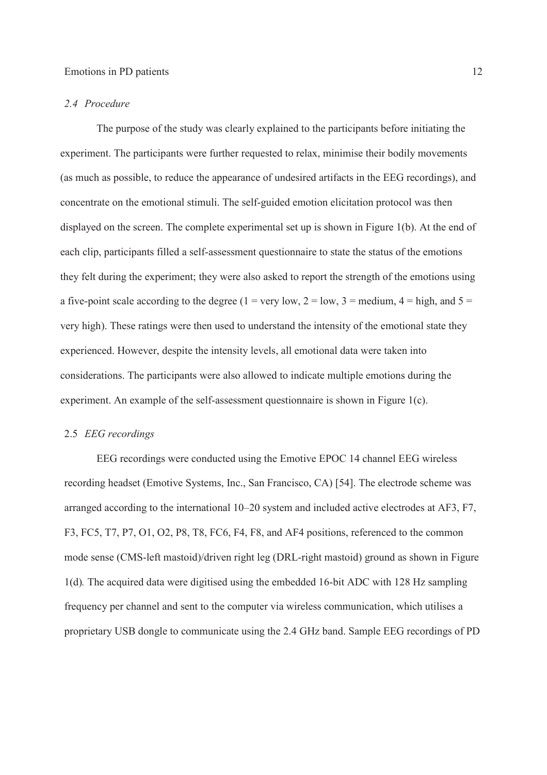#### 1 *2.4 Procedure*

2 The purpose of the study was clearly explained to the participants before initiating the experiment. The participants were further requested to relax, minimise their bodily movements (as much as possible, to reduce the appearance of undesired artifacts in the EEG recordings), and 5 concentrate on the emotional stimuli. The self-guided emotion elicitation protocol was then displayed on the screen. The complete experimental set up is shown in Figure 1(b). At the end of each clip, participants filled a self-assessment questionnaire to state the status of the emotions they felt during the experiment; they were also asked to report the strength of the emotions using a five-point scale according to the degree (1 = very low, 2 = low, 3 = medium, 4 = high, and 5 = 10 very high). These ratings were then used to understand the intensity of the emotional state they experienced. However, despite the intensity levels, all emotional data were taken into 12 considerations. The participants were also allowed to indicate multiple emotions during the experiment. An example of the self-assessment questionnaire is shown in Figure 1(c).

#### 14 2.5 *EEG recordings*

15 EEG recordings were conducted using the Emotive EPOC 14 channel EEG wireless 16 recording headset (Emotive Systems, Inc., San Francisco, CA) [54]. The electrode scheme was arranged according to the international  $10-20$  system and included active electrodes at AF3, F7, F3, FC5, T7, P7, O1, O2, P8, T8, FC6, F4, F8, and AF4 positions, referenced to the common mode sense (CMS-left mastoid)/driven right leg (DRL-right mastoid) ground as shown in Figure 20 1(d)*.* The acquired data were digitised using the embedded 16-bit ADC with 128 Hz sampling frequency per channel and sent to the computer via wireless communication, which utilises a 22 proprietary USB dongle to communicate using the 2.4 GHz band. Sample EEG recordings of PD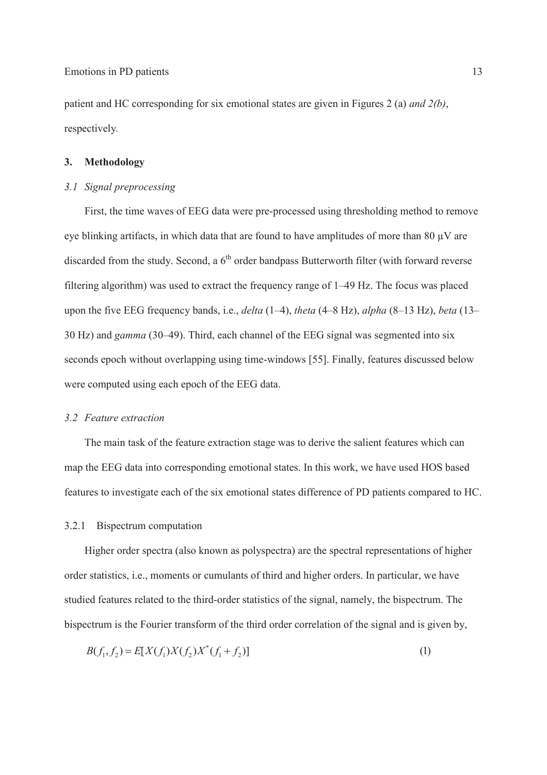1 patient and HC corresponding for six emotional states are given in Figures 2 (a) *and 2(b)*, respectively.

## 3 **3. Methodology**

## 4 *3.1 Signal preprocessing*

First, the time waves of EEG data were pre-processed using thresholding method to remove eye blinking artifacts, in which data that are found to have amplitudes of more than 80  $\mu$ V are discarded from the study. Second, a  $6<sup>th</sup>$  order bandpass Butterworth filter (with forward reverse filtering algorithm) was used to extract the frequency range of  $1-49$  Hz. The focus was placed upon the five EEG frequency bands, i.e., *delta* (1–4), *theta* (4–8 Hz), *alpha* (8–13 Hz), *beta* (13– 10 Hz) and *gamma* (30–49). Third, each channel of the EEG signal was segmented into six seconds epoch without overlapping using time-windows [55]. Finally, features discussed below were computed using each epoch of the EEG data.

#### 13 *3.2 Feature extraction*

The main task of the feature extraction stage was to derive the salient features which can map the EEG data into corresponding emotional states. In this work, we have used HOS based 16 features to investigate each of the six emotional states difference of PD patients compared to HC.

#### 17 3.2.1 Bispectrum computation

Higher order spectra (also known as polyspectra) are the spectral representations of higher 19 order statistics, i.e., moments or cumulants of third and higher orders. In particular, we have studied features related to the third-order statistics of the signal, namely, the bispectrum. The bispectrum is the Fourier transform of the third order correlation of the signal and is given by,

$$
B(f_1, f_2) = E[X(f_1)X(f_2)X^*(f_1 + f_2)]
$$
\n(1)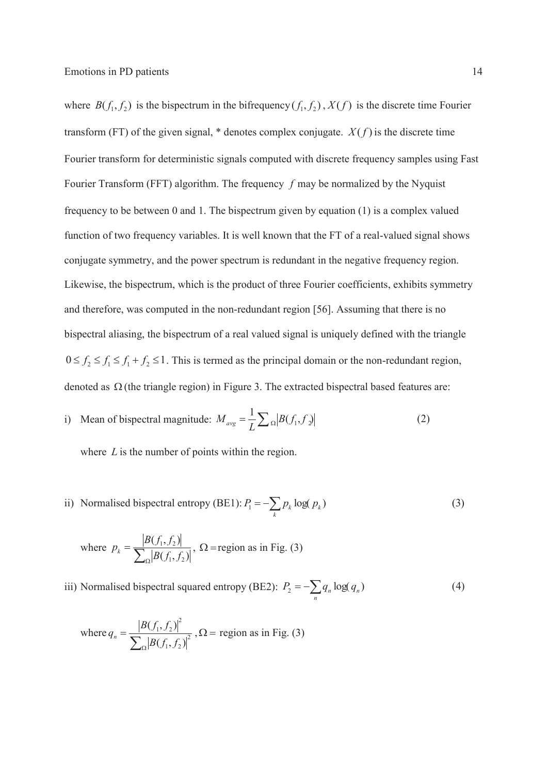where  $B(f_1, f_2)$  is the bispectrum in the bifrequency  $(f_1, f_2)$ ,  $X(f)$  is the discrete time Fourier transform (FT) of the given signal,  $*$  denotes complex conjugate.  $X(f)$  is the discrete time 3 Fourier transform for deterministic signals computed with discrete frequency samples using Fast 4 Fourier Transform (FFT) algorithm. The frequency *f* may be normalized by the Nyquist 5 frequency to be between 0 and 1. The bispectrum given by equation (1) is a complex valued function of two frequency variables. It is well known that the FT of a real-valued signal shows 7 conjugate symmetry, and the power spectrum is redundant in the negative frequency region. Likewise, the bispectrum, which is the product of three Fourier coefficients, exhibits symmetry and therefore, was computed in the non-redundant region [56]. Assuming that there is no 10 bispectral aliasing, the bispectrum of a real valued signal is uniquely defined with the triangle  $0 \le f_2 \le f_1 \le f_1 + f_2 \le 1$ . This is termed as the principal domain or the non-redundant region, denoted as  $\Omega$  (the triangle region) in Figure 3. The extracted bispectral based features are:

i) Mean of bispectral magnitude:  $M_{avg} = \frac{1}{L} \sum_{\Omega} |B(f_1, f_2)|$  (2)

where  $L$  is the number of points within the region.

ii) Normalised bispectral entropy (BE1):  $P_1 = -\sum_k$ ii) Normalised bispectral entropy (BE1):  $P_1 = -\sum p_k \log(p_k)$  (3)

where 
$$
p_k = \frac{|B(f_1, f_2)|}{\sum_{\Omega} |B(f_1, f_2)|}, \Omega = \text{region as in Fig. (3)}
$$

iii) Normalised bispectral squared entropy (BE2):  $P_2 = -\sum_n$ iii) Normalised bispectral squared entropy (BE2):  $P_2 = -\sum q_n \log(q_n)$  (4)

where 
$$
q_n = \frac{|B(f_1, f_2)|^2}{\sum_{\Omega} |B(f_1, f_2)|^2}
$$
,  $\Omega$  = region as in Fig. (3)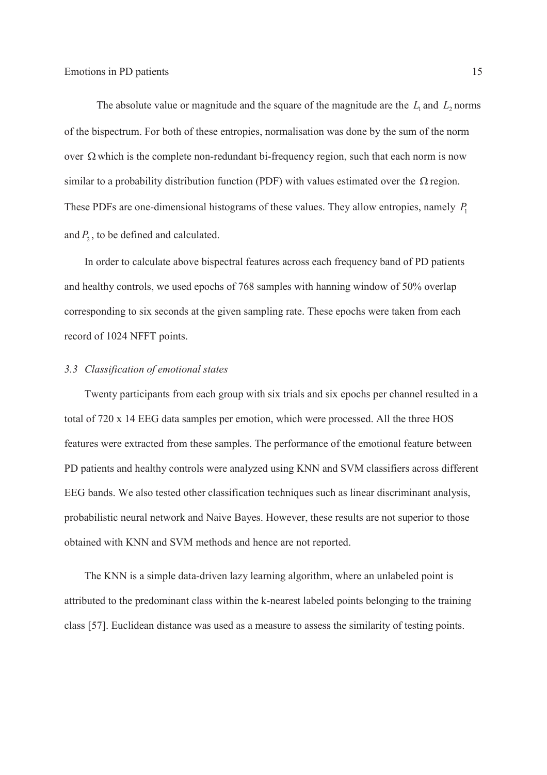The absolute value or magnitude and the square of the magnitude are the  $L_1$  and  $L_2$  norms 2 of the bispectrum. For both of these entropies, normalisation was done by the sum of the norm over  $\Omega$  which is the complete non-redundant bi-frequency region, such that each norm is now similar to a probability distribution function (PDF) with values estimated over the  $\Omega$  region. These PDFs are one-dimensional histograms of these values. They allow entropies, namely  $P_1$ and  $P_2$ , to be defined and calculated.

> In order to calculate above bispectral features across each frequency band of PD patients and healthy controls, we used epochs of 768 samples with hanning window of 50% overlap 9 corresponding to six seconds at the given sampling rate. These epochs were taken from each record of 1024 NFFT points.

#### 11 *3.3 Classification of emotional states*

Twenty participants from each group with six trials and six epochs per channel resulted in a total of 720 x 14 EEG data samples per emotion, which were processed. All the three HOS features were extracted from these samples. The performance of the emotional feature between 15 PD patients and healthy controls were analyzed using KNN and SVM classifiers across different 16 EEG bands. We also tested other classification techniques such as linear discriminant analysis, probabilistic neural network and Naive Bayes. However, these results are not superior to those obtained with KNN and SVM methods and hence are not reported.

The KNN is a simple data-driven lazy learning algorithm, where an unlabeled point is attributed to the predominant class within the k-nearest labeled points belonging to the training 21 class [57]. Euclidean distance was used as a measure to assess the similarity of testing points.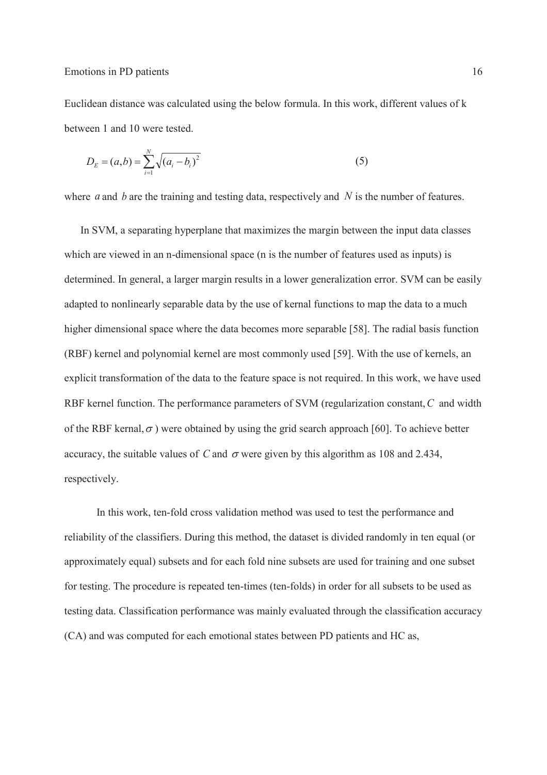Euclidean distance was calculated using the below formula. In this work, different values of k between 1 and 10 were tested.

$$
D_E = (a, b) = \sum_{i=1}^{N} \sqrt{(a_i - b_i)^2}
$$
 (5)

where *a* and *b* are the training and testing data, respectively and *N* is the number of features.

In SVM, a separating hyperplane that maximizes the margin between the input data classes which are viewed in an n-dimensional space (n is the number of features used as inputs) is 7 determined. In general, a larger margin results in a lower generalization error. SVM can be easily adapted to nonlinearly separable data by the use of kernal functions to map the data to a much higher dimensional space where the data becomes more separable [58]. The radial basis function 10 (RBF) kernel and polynomial kernel are most commonly used [59]. With the use of kernels, an explicit transformation of the data to the feature space is not required. In this work, we have used 12 RBF kernel function. The performance parameters of SVM (regularization constant,*C* and width of the RBF kernal,  $\sigma$ ) were obtained by using the grid search approach [60]. To achieve better accuracy, the suitable values of *C* and  $\sigma$  were given by this algorithm as 108 and 2.434, respectively.

16 In this work, ten-fold cross validation method was used to test the performance and 17 reliability of the classifiers. During this method, the dataset is divided randomly in ten equal (or approximately equal) subsets and for each fold nine subsets are used for training and one subset for testing. The procedure is repeated ten-times (ten-folds) in order for all subsets to be used as 20 testing data. Classification performance was mainly evaluated through the classification accuracy (CA) and was computed for each emotional states between PD patients and HC as,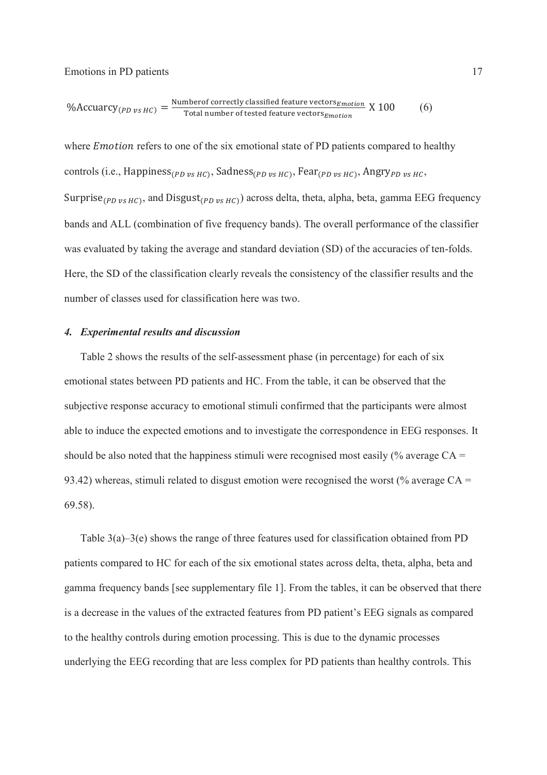$$
\% Accuracy_{(PD \ vs \ HC)} = \frac{\text{Numberof correctly classified feature vectors}_{Emotion}}{\text{Total number of tested feature vectors}_{Emotion}} \ X \ 100 \tag{6}
$$

where *Emotion* refers to one of the six emotional state of PD patients compared to healthy controls (i.e., Happiness<sub>(PD vs HC)</sub>, Sadness<sub>(PD vs HC)</sub>, Fear<sub>(PD vs HC)</sub>, Angry<sub>PD vs HC</sub>, Surprise<sub>(PD vs HC)</sub>, and Disgust<sub>(PD vs HC)</sub>) across delta, theta, alpha, beta, gamma EEG frequency bands and ALL (combination of five frequency bands). The overall performance of the classifier was evaluated by taking the average and standard deviation (SD) of the accuracies of ten-folds. 7 Here, the SD of the classification clearly reveals the consistency of the classifier results and the number of classes used for classification here was two.

#### 9 *4. Experimental results and discussion*

Table 2 shows the results of the self-assessment phase (in percentage) for each of six 11 emotional states between PD patients and HC. From the table, it can be observed that the subjective response accuracy to emotional stimuli confirmed that the participants were almost able to induce the expected emotions and to investigate the correspondence in EEG responses. It should be also noted that the happiness stimuli were recognised most easily (% average  $CA =$ 93.42) whereas, stimuli related to disgust emotion were recognised the worst (% average  $CA =$ 69.58).

Table  $3(a)$ – $3(e)$  shows the range of three features used for classification obtained from PD patients compared to HC for each of the six emotional states across delta, theta, alpha, beta and gamma frequency bands [see supplementary file 1]. From the tables, it can be observed that there is a decrease in the values of the extracted features from PD patient's EEG signals as compared 21 to the healthy controls during emotion processing. This is due to the dynamic processes 22 underlying the EEG recording that are less complex for PD patients than healthy controls. This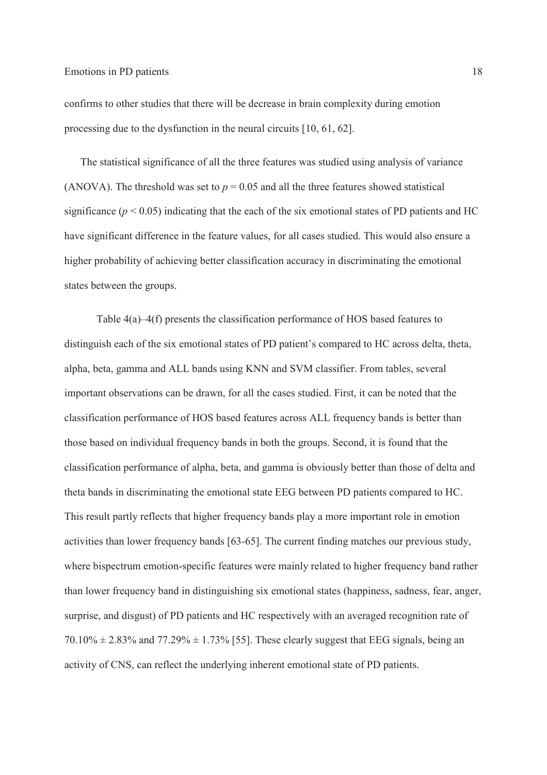1 confirms to other studies that there will be decrease in brain complexity during emotion 2 processing due to the dysfunction in the neural circuits [10, 61, 62].

The statistical significance of all the three features was studied using analysis of variance (ANOVA). The threshold was set to  $p = 0.05$  and all the three features showed statistical significance ( $p < 0.05$ ) indicating that the each of the six emotional states of PD patients and HC have significant difference in the feature values, for all cases studied. This would also ensure a 7 higher probability of achieving better classification accuracy in discriminating the emotional states between the groups.

Table  $4(a)$ –4(f) presents the classification performance of HOS based features to distinguish each of the six emotional states of PD patient's compared to HC across delta, theta, 11 alpha, beta, gamma and ALL bands using KNN and SVM classifier. From tables, several important observations can be drawn, for all the cases studied. First, it can be noted that the classification performance of HOS based features across ALL frequency bands is better than those based on individual frequency bands in both the groups. Second, it is found that the 15 classification performance of alpha, beta, and gamma is obviously better than those of delta and 16 theta bands in discriminating the emotional state EEG between PD patients compared to HC. 17 This result partly reflects that higher frequency bands play a more important role in emotion activities than lower frequency bands [63-65]. The current finding matches our previous study, where bispectrum emotion-specific features were mainly related to higher frequency band rather 20 than lower frequency band in distinguishing six emotional states (happiness, sadness, fear, anger, 21 surprise, and disgust) of PD patients and HC respectively with an averaged recognition rate of  $20.10\% \pm 2.83\%$  and  $77.29\% \pm 1.73\%$  [55]. These clearly suggest that EEG signals, being an activity of CNS, can reflect the underlying inherent emotional state of PD patients.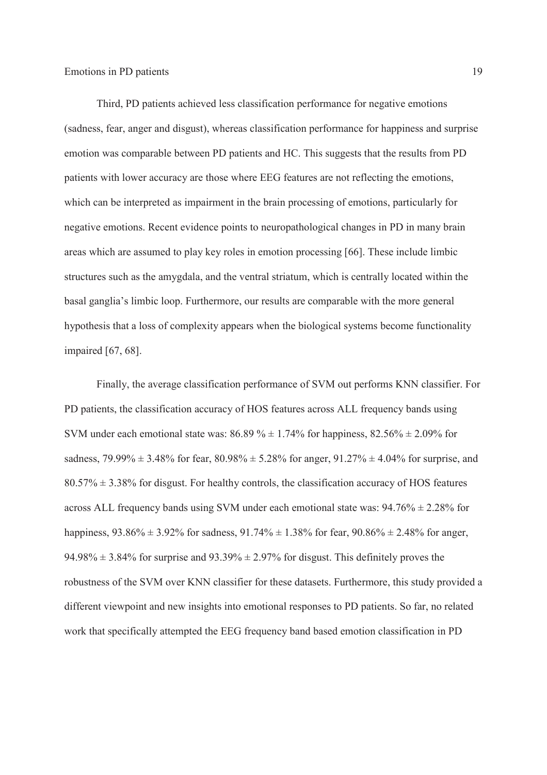1 Third, PD patients achieved less classification performance for negative emotions 2 (sadness, fear, anger and disgust), whereas classification performance for happiness and surprise 3 emotion was comparable between PD patients and HC. This suggests that the results from PD patients with lower accuracy are those where EEG features are not reflecting the emotions, 5 which can be interpreted as impairment in the brain processing of emotions, particularly for 6 negative emotions. Recent evidence points to neuropathological changes in PD in many brain areas which are assumed to play key roles in emotion processing [66]. These include limbic structures such as the amygdala, and the ventral striatum, which is centrally located within the basal ganglia's limbic loop. Furthermore, our results are comparable with the more general hypothesis that a loss of complexity appears when the biological systems become functionality impaired [67, 68].

Finally, the average classification performance of SVM out performs KNN classifier. For 13 PD patients, the classification accuracy of HOS features across ALL frequency bands using SVM under each emotional state was:  $86.89\% \pm 1.74\%$  for happiness,  $82.56\% \pm 2.09\%$  for sadness, 79.99%  $\pm$  3.48% for fear, 80.98%  $\pm$  5.28% for anger, 91.27%  $\pm$  4.04% for surprise, and  $80.57\% \pm 3.38\%$  for disgust. For healthy controls, the classification accuracy of HOS features across ALL frequency bands using SVM under each emotional state was:  $94.76\% \pm 2.28\%$  for happiness,  $93.86\% \pm 3.92\%$  for sadness,  $91.74\% \pm 1.38\%$  for fear,  $90.86\% \pm 2.48\%$  for anger, 94.98%  $\pm$  3.84% for surprise and 93.39%  $\pm$  2.97% for disgust. This definitely proves the 20 robustness of the SVM over KNN classifier for these datasets. Furthermore, this study provided a different viewpoint and new insights into emotional responses to PD patients. So far, no related 22 work that specifically attempted the EEG frequency band based emotion classification in PD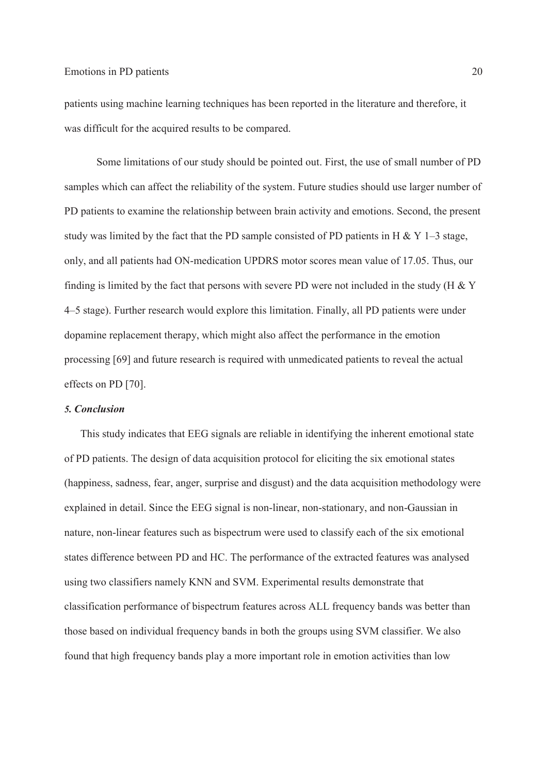patients using machine learning techniques has been reported in the literature and therefore, it was difficult for the acquired results to be compared.

3 Some limitations of our study should be pointed out. First, the use of small number of PD samples which can affect the reliability of the system. Future studies should use larger number of 5 PD patients to examine the relationship between brain activity and emotions. Second, the present study was limited by the fact that the PD sample consisted of PD patients in H & Y 1–3 stage, 7 only, and all patients had ON-medication UPDRS motor scores mean value of 17.05. Thus, our finding is limited by the fact that persons with severe PD were not included in the study (H  $&$  Y 4–5 stage). Further research would explore this limitation. Finally, all PD patients were under dopamine replacement therapy, which might also affect the performance in the emotion processing [69] and future research is required with unmedicated patients to reveal the actual effects on PD [70].

## 13 *5. Conclusion*

14 This study indicates that EEG signals are reliable in identifying the inherent emotional state 15 of PD patients. The design of data acquisition protocol for eliciting the six emotional states 16 (happiness, sadness, fear, anger, surprise and disgust) and the data acquisition methodology were explained in detail. Since the EEG signal is non-linear, non-stationary, and non-Gaussian in nature, non-linear features such as bispectrum were used to classify each of the six emotional states difference between PD and HC. The performance of the extracted features was analysed using two classifiers namely KNN and SVM. Experimental results demonstrate that 21 classification performance of bispectrum features across ALL frequency bands was better than those based on individual frequency bands in both the groups using SVM classifier. We also found that high frequency bands play a more important role in emotion activities than low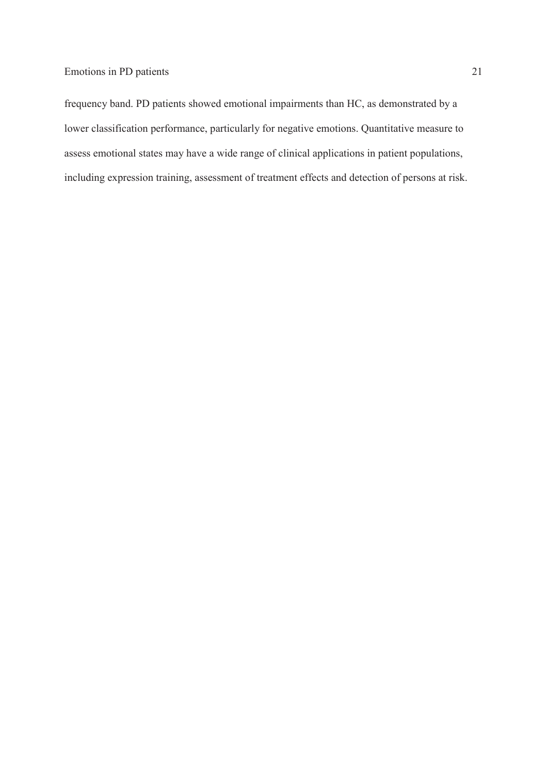1 frequency band. PD patients showed emotional impairments than HC, as demonstrated by a lower classification performance, particularly for negative emotions. Quantitative measure to assess emotional states may have a wide range of clinical applications in patient populations, including expression training, assessment of treatment effects and detection of persons at risk.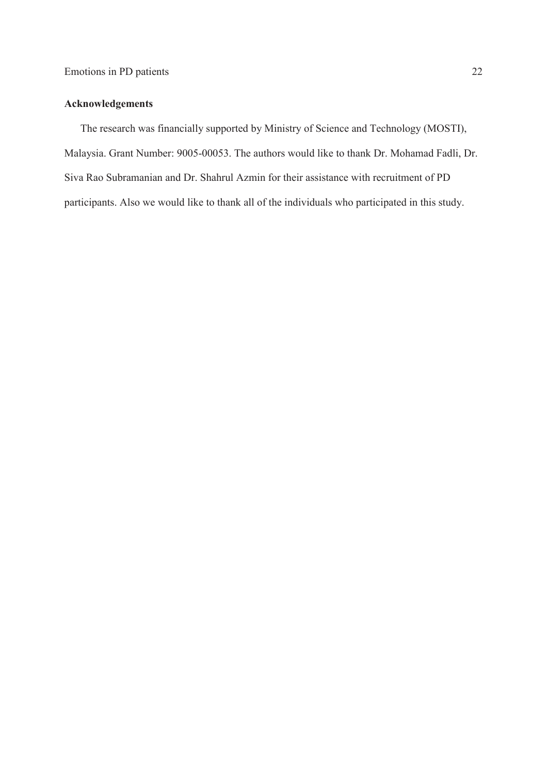## **Acknowledgements**

The research was financially supported by Ministry of Science and Technology (MOSTI), Malaysia. Grant Number: 9005-00053. The authors would like to thank Dr. Mohamad Fadli, Dr. Siva Rao Subramanian and Dr. Shahrul Azmin for their assistance with recruitment of PD participants. Also we would like to thank all of the individuals who participated in this study.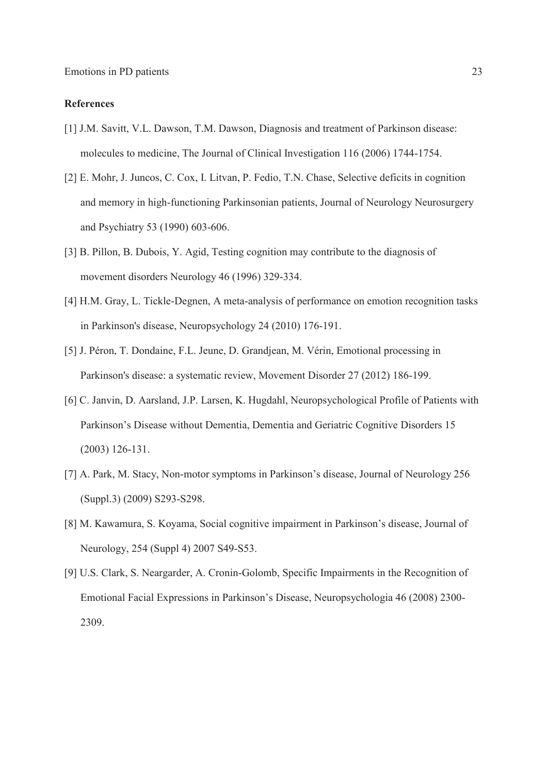#### 1 **References**

- 2 [1] J.M. Savitt, V.L. Dawson, T.M. Dawson, Diagnosis and treatment of Parkinson disease: molecules to medicine, The Journal of Clinical Investigation 116 (2006) 1744-1754.
- 4 [2] E. Mohr, J. Juncos, C. Cox, I. Litvan, P. Fedio, T.N. Chase, Selective deficits in cognition and memory in high-functioning Parkinsonian patients, Journal of Neurology Neurosurgery and Psychiatry 53 (1990) 603-606.
- 7 [3] B. Pillon, B. Dubois, Y. Agid, Testing cognition may contribute to the diagnosis of movement disorders Neurology 46 (1996) 329-334.
- [4] H.M. Gray, L. Tickle-Degnen, A meta-analysis of performance on emotion recognition tasks in Parkinson's disease, Neuropsychology 24 (2010) 176-191.
- 11 [5] J. PÈron, T. Dondaine, F.L. Jeune, D. Grandjean, M. VÈrin, Emotional processing in 12 Parkinson's disease: a systematic review, Movement Disorder 27 (2012) 186-199.
- 13 [6] C. Janvin, D. Aarsland, J.P. Larsen, K. Hugdahl, Neuropsychological Profile of Patients with Parkinson's Disease without Dementia, Dementia and Geriatric Cognitive Disorders 15  $(2003)$  126-131.
- [7] A. Park, M. Stacy, Non-motor symptoms in Parkinson's disease, Journal of Neurology 256 (Suppl.3) (2009) S293-S298.
- [8] M. Kawamura, S. Koyama, Social cognitive impairment in Parkinson's disease, Journal of Neurology, 254 (Suppl 4) 2007 S49-S53.
- 20 [9] U.S. Clark, S. Neargarder, A. Cronin-Golomb, Specific Impairments in the Recognition of Emotional Facial Expressions in Parkinson's Disease, Neuropsychologia 46 (2008) 2300-22 2309.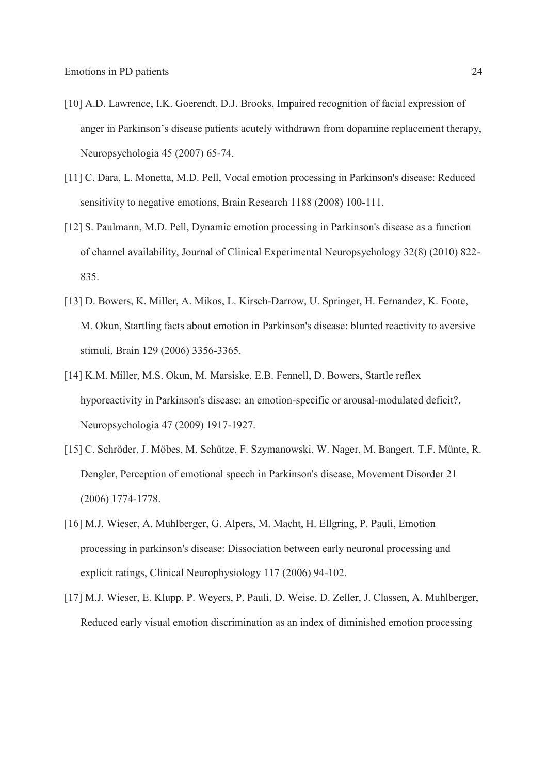- [10] A.D. Lawrence, I.K. Goerendt, D.J. Brooks, Impaired recognition of facial expression of anger in Parkinson's disease patients acutely withdrawn from dopamine replacement therapy, Neuropsychologia 45 (2007) 65-74.
- [11] C. Dara, L. Monetta, M.D. Pell, Vocal emotion processing in Parkinson's disease: Reduced 5 sensitivity to negative emotions, Brain Research 1188 (2008) 100-111.
- [12] S. Paulmann, M.D. Pell, Dynamic emotion processing in Parkinson's disease as a function 7 of channel availability, Journal of Clinical Experimental Neuropsychology 32(8) (2010) 822- 835.
- [13] D. Bowers, K. Miller, A. Mikos, L. Kirsch-Darrow, U. Springer, H. Fernandez, K. Foote, 10 M. Okun, Startling facts about emotion in Parkinson's disease: blunted reactivity to aversive stimuli, Brain 129 (2006) 3356-3365.
- [14] K.M. Miller, M.S. Okun, M. Marsiske, E.B. Fennell, D. Bowers, Startle reflex hyporeactivity in Parkinson's disease: an emotion-specific or arousal-modulated deficit?, 14 Neuropsychologia 47 (2009) 1917-1927.
- [15] C. Schröder, J. Möbes, M. Schütze, F. Szymanowski, W. Nager, M. Bangert, T.F. Münte, R. 16 Dengler, Perception of emotional speech in Parkinson's disease, Movement Disorder 21 17 (2006) 1774-1778.
- 18 [16] M.J. Wieser, A. Muhlberger, G. Alpers, M. Macht, H. Ellgring, P. Pauli, Emotion processing in parkinson's disease: Dissociation between early neuronal processing and 20 explicit ratings, Clinical Neurophysiology 117 (2006) 94-102.
- 21 [17] M.J. Wieser, E. Klupp, P. Weyers, P. Pauli, D. Weise, D. Zeller, J. Classen, A. Muhlberger, 22 Reduced early visual emotion discrimination as an index of diminished emotion processing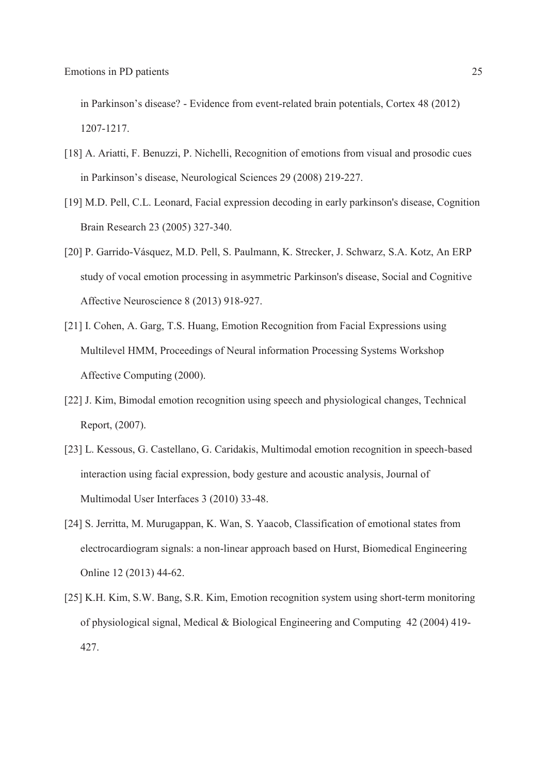in Parkinson's disease? - Evidence from event-related brain potentials, Cortex 48 (2012) 2 1207-1217.

- [18] A. Ariatti, F. Benuzzi, P. Nichelli, Recognition of emotions from visual and prosodic cues in Parkinson's disease, Neurological Sciences 29 (2008) 219-227.
- 5 [19] M.D. Pell, C.L. Leonard, Facial expression decoding in early parkinson's disease, Cognition 6 Brain Research 23 (2005) 327-340.
- [20] P. Garrido-Vásquez, M.D. Pell, S. Paulmann, K. Strecker, J. Schwarz, S.A. Kotz, An ERP study of vocal emotion processing in asymmetric Parkinson's disease, Social and Cognitive 9 Affective Neuroscience 8 (2013) 918-927.
- 10 [21] I. Cohen, A. Garg, T.S. Huang, Emotion Recognition from Facial Expressions using 11 Multilevel HMM, Proceedings of Neural information Processing Systems Workshop Affective Computing (2000).
- 13 [22] J. Kim, Bimodal emotion recognition using speech and physiological changes, Technical Report, (2007).
- 15 [23] L. Kessous, G. Castellano, G. Caridakis, Multimodal emotion recognition in speech-based interaction using facial expression, body gesture and acoustic analysis, Journal of Multimodal User Interfaces 3 (2010) 33-48.
- [24] S. Jerritta, M. Murugappan, K. Wan, S. Yaacob, Classification of emotional states from 19 electrocardiogram signals: a non-linear approach based on Hurst, Biomedical Engineering Online 12 (2013) 44-62.
- [25] K.H. Kim, S.W. Bang, S.R. Kim, Emotion recognition system using short-term monitoring 22 of physiological signal, Medical & Biological Engineering and Computing 42 (2004) 419- 23 427.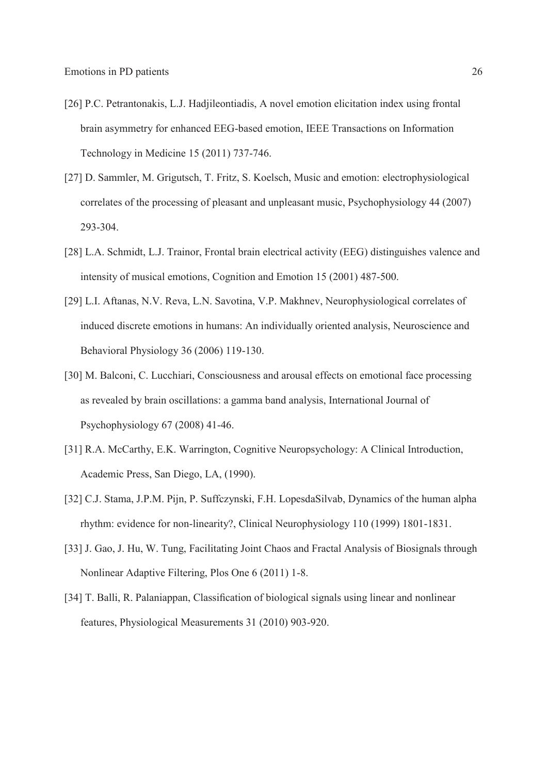- [26] P.C. Petrantonakis, L.J. Hadjileontiadis, A novel emotion elicitation index using frontal brain asymmetry for enhanced EEG-based emotion, IEEE Transactions on Information Technology in Medicine  $15 (2011) 737-746$ .
- [27] D. Sammler, M. Grigutsch, T. Fritz, S. Koelsch, Music and emotion: electrophysiological 5 correlates of the processing of pleasant and unpleasant music, Psychophysiology 44 (2007) 293-304.
- [28] L.A. Schmidt, L.J. Trainor, Frontal brain electrical activity (EEG) distinguishes valence and 8 intensity of musical emotions, Cognition and Emotion 15 (2001) 487-500.
- [29] L.I. Aftanas, N.V. Reva, L.N. Savotina, V.P. Makhnev, Neurophysiological correlates of 10 induced discrete emotions in humans: An individually oriented analysis, Neuroscience and Behavioral Physiology 36 (2006) 119-130.
- [30] M. Balconi, C. Lucchiari, Consciousness and arousal effects on emotional face processing as revealed by brain oscillations: a gamma band analysis, International Journal of 14 Psychophysiology 67 (2008) 41-46.
- 15 [31] R.A. McCarthy, E.K. Warrington, Cognitive Neuropsychology: A Clinical Introduction, 16 Academic Press, San Diego, LA, (1990).
- 17 [32] C.J. Stama, J.P.M. Pijn, P. Suffczynski, F.H. LopesdaSilvab, Dynamics of the human alpha 18 rhythm: evidence for non-linearity?, Clinical Neurophysiology 110 (1999) 1801-1831.
- [33] J. Gao, J. Hu, W. Tung, Facilitating Joint Chaos and Fractal Analysis of Biosignals through 20 Nonlinear Adaptive Filtering, Plos One 6 (2011) 1-8.
- [34] T. Balli, R. Palaniappan, Classification of biological signals using linear and nonlinear 22 features, Physiological Measurements 31 (2010) 903-920.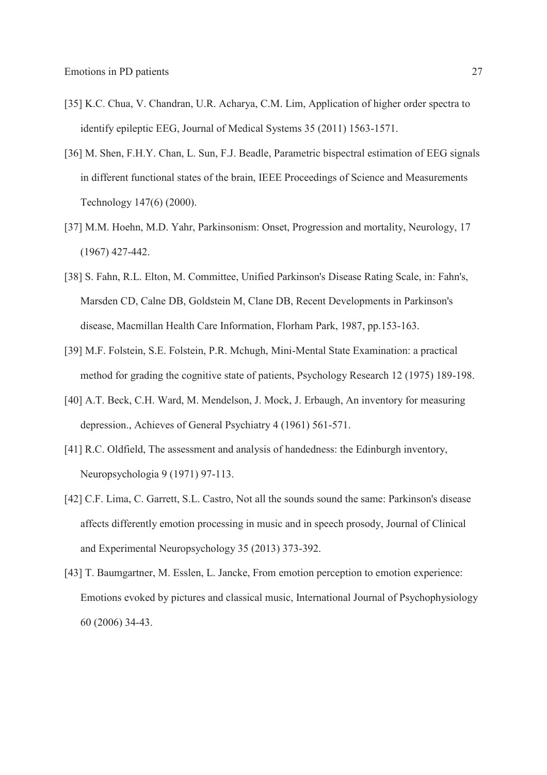- [35] K.C. Chua, V. Chandran, U.R. Acharya, C.M. Lim, Application of higher order spectra to identify epileptic EEG, Journal of Medical Systems 35 (2011) 1563-1571.
- 3 [36] M. Shen, F.H.Y. Chan, L. Sun, F.J. Beadle, Parametric bispectral estimation of EEG signals in different functional states of the brain, IEEE Proceedings of Science and Measurements Technology 147(6) (2000).
- 6 [37] M.M. Hoehn, M.D. Yahr, Parkinsonism: Onset, Progression and mortality, Neurology, 17  $(1967)$  427-442.
- [38] S. Fahn, R.L. Elton, M. Committee, Unified Parkinson's Disease Rating Scale, in: Fahn's, Marsden CD, Calne DB, Goldstein M, Clane DB, Recent Developments in Parkinson's 10 disease, Macmillan Health Care Information, Florham Park, 1987, pp.153-163.
- [39] M.F. Folstein, S.E. Folstein, P.R. Mchugh, Mini-Mental State Examination: a practical 12 method for grading the cognitive state of patients, Psychology Research 12 (1975) 189-198.
- [40] A.T. Beck, C.H. Ward, M. Mendelson, J. Mock, J. Erbaugh, An inventory for measuring depression., Achieves of General Psychiatry 4 (1961) 561-571.
- 15 [41] R.C. Oldfield, The assessment and analysis of handedness: the Edinburgh inventory, Neuropsychologia 9 (1971) 97-113.
- 17 [42] C.F. Lima, C. Garrett, S.L. Castro, Not all the sounds sound the same: Parkinson's disease 18 affects differently emotion processing in music and in speech prosody, Journal of Clinical and Experimental Neuropsychology 35 (2013) 373-392.
- [43] T. Baumgartner, M. Esslen, L. Jancke, From emotion perception to emotion experience: Emotions evoked by pictures and classical music, International Journal of Psychophysiology 22 60 (2006) 34-43.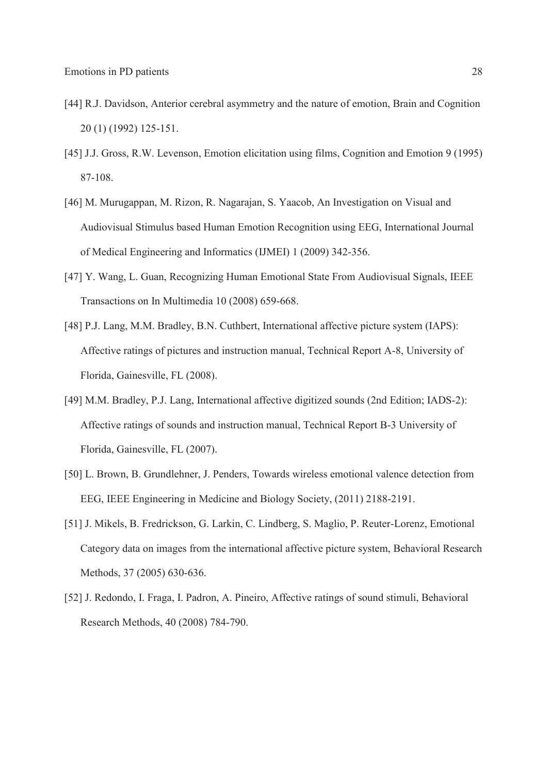- [44] R.J. Davidson, Anterior cerebral asymmetry and the nature of emotion, Brain and Cognition 2 20 (1) (1992) 125-151.
- [45] J.J. Gross, R.W. Levenson, Emotion elicitation using films, Cognition and Emotion 9 (1995) 87-108.
- [46] M. Murugappan, M. Rizon, R. Nagarajan, S. Yaacob, An Investigation on Visual and 6 Audiovisual Stimulus based Human Emotion Recognition using EEG, International Journal 7 of Medical Engineering and Informatics (IJMEI) 1 (2009) 342-356.
- 8 [47] Y. Wang, L. Guan, Recognizing Human Emotional State From Audiovisual Signals, IEEE Transactions on In Multimedia 10 (2008) 659-668.
- [48] P.J. Lang, M.M. Bradley, B.N. Cuthbert, International affective picture system (IAPS): 11 Affective ratings of pictures and instruction manual, Technical Report A-8, University of 12 Florida, Gainesville, FL (2008).
- 13 [49] M.M. Bradley, P.J. Lang, International affective digitized sounds (2nd Edition; IADS-2): 14 Affective ratings of sounds and instruction manual, Technical Report B-3 University of 15 Florida, Gainesville, FL (2007).
- 16 [50] L. Brown, B. Grundlehner, J. Penders, Towards wireless emotional valence detection from 17 EEG, IEEE Engineering in Medicine and Biology Society, (2011) 2188-2191.
- 18 [51] J. Mikels, B. Fredrickson, G. Larkin, C. Lindberg, S. Maglio, P. Reuter-Lorenz, Emotional Category data on images from the international affective picture system, Behavioral Research Methods, 37 (2005) 630-636.
- [52] J. Redondo, I. Fraga, I. Padron, A. Pineiro, Affective ratings of sound stimuli, Behavioral 22 Research Methods, 40 (2008) 784-790.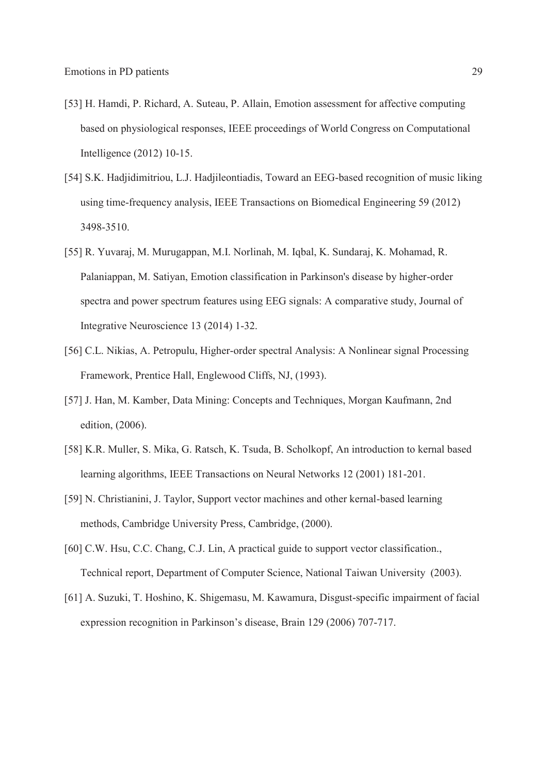- [53] H. Hamdi, P. Richard, A. Suteau, P. Allain, Emotion assessment for affective computing 2 based on physiological responses, IEEE proceedings of World Congress on Computational 3 Intelligence (2012) 10-15.
- [54] S.K. Hadjidimitriou, L.J. Hadjileontiadis, Toward an EEG-based recognition of music liking 5 using time-frequency analysis, IEEE Transactions on Biomedical Engineering 59 (2012) 6 3498-3510.
- 7 [55] R. Yuvaraj, M. Murugappan, M.I. Norlinah, M. Iqbal, K. Sundaraj, K. Mohamad, R. 8 Palaniappan, M. Satiyan, Emotion classification in Parkinson's disease by higher-order spectra and power spectrum features using EEG signals: A comparative study, Journal of Integrative Neuroscience 13 (2014) 1-32.
- [56] C.L. Nikias, A. Petropulu, Higher-order spectral Analysis: A Nonlinear signal Processing Framework, Prentice Hall, Englewood Cliffs, NJ, (1993).
- 13 [57] J. Han, M. Kamber, Data Mining: Concepts and Techniques, Morgan Kaufmann, 2nd edition, (2006).
- 15 [58] K.R. Muller, S. Mika, G. Ratsch, K. Tsuda, B. Scholkopf, An introduction to kernal based 16 learning algorithms, IEEE Transactions on Neural Networks 12 (2001) 181-201.
- 17 [59] N. Christianini, J. Taylor, Support vector machines and other kernal-based learning methods, Cambridge University Press, Cambridge, (2000).
- [60] C.W. Hsu, C.C. Chang, C.J. Lin, A practical guide to support vector classification., 20 Technical report, Department of Computer Science, National Taiwan University (2003).
- 21 [61] A. Suzuki, T. Hoshino, K. Shigemasu, M. Kawamura, Disgust-specific impairment of facial expression recognition in Parkinson's disease, Brain 129 (2006) 707-717.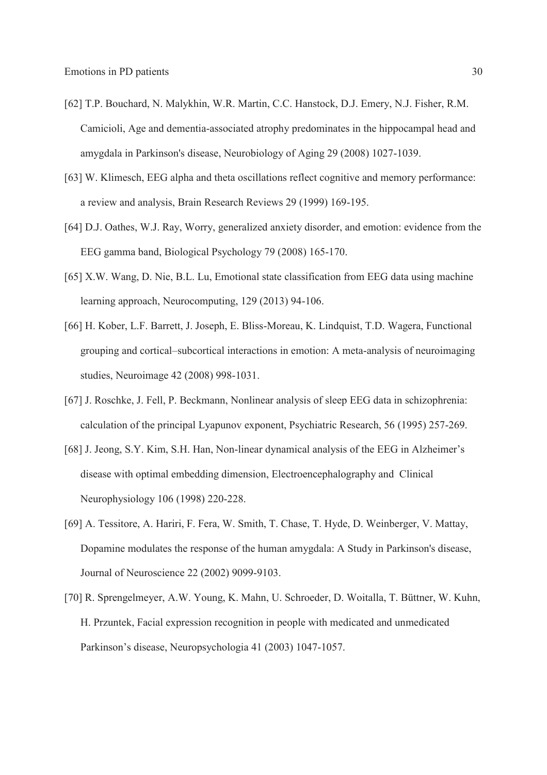- [62] T.P. Bouchard, N. Malykhin, W.R. Martin, C.C. Hanstock, D.J. Emery, N.J. Fisher, R.M. 2 Camicioli, Age and dementia-associated atrophy predominates in the hippocampal head and 3 amygdala in Parkinson's disease, Neurobiology of Aging 29 (2008) 1027-1039.
- [63] W. Klimesch, EEG alpha and theta oscillations reflect cognitive and memory performance: 5 a review and analysis, Brain Research Reviews 29 (1999) 169-195.
- [64] D.J. Oathes, W.J. Ray, Worry, generalized anxiety disorder, and emotion: evidence from the 7 EEG gamma band, Biological Psychology 79 (2008) 165-170.
- 8 [65] X.W. Wang, D. Nie, B.L. Lu, Emotional state classification from EEG data using machine learning approach, Neurocomputing, 129 (2013) 94-106.
- 10 [66] H. Kober, L.F. Barrett, J. Joseph, E. Bliss-Moreau, K. Lindquist, T.D. Wagera, Functional erouping and cortical—subcortical interactions in emotion: A meta-analysis of neuroimaging studies, Neuroimage 42 (2008) 998-1031.
- 13 [67] J. Roschke, J. Fell, P. Beckmann, Nonlinear analysis of sleep EEG data in schizophrenia: 14 calculation of the principal Lyapunov exponent, Psychiatric Research, 56 (1995) 257-269.
- 15 [68] J. Jeong, S.Y. Kim, S.H. Han, Non-linear dynamical analysis of the EEG in Alzheimerís disease with optimal embedding dimension, Electroencephalography and Clinical Neurophysiology 106 (1998) 220-228.
- 18 [69] A. Tessitore, A. Hariri, F. Fera, W. Smith, T. Chase, T. Hyde, D. Weinberger, V. Mattay, Dopamine modulates the response of the human amygdala: A Study in Parkinson's disease, 20 Journal of Neuroscience 22 (2002) 9099-9103.
- [70] R. Sprengelmeyer, A.W. Young, K. Mahn, U. Schroeder, D. Woitalla, T. Büttner, W. Kuhn, 22 H. Przuntek, Facial expression recognition in people with medicated and unmedicated Parkinson's disease, Neuropsychologia 41 (2003) 1047-1057.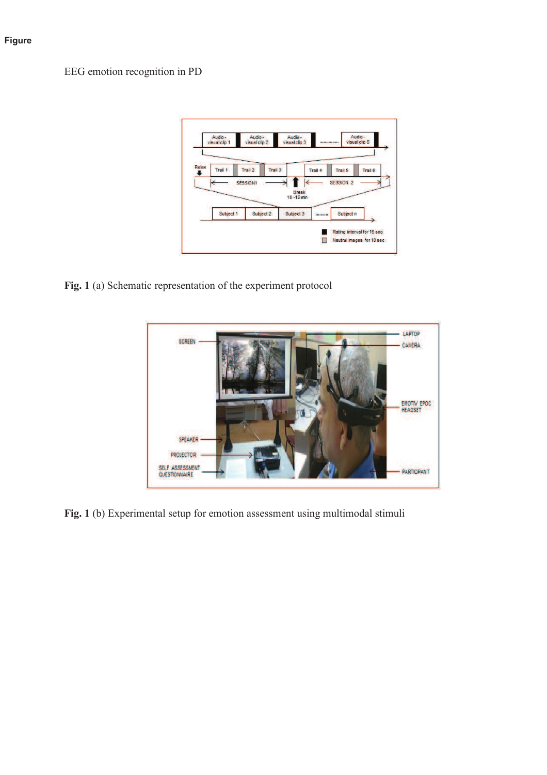## **Figure**

EEG emotion recognition in PD



Fig. 1 (a) Schematic representation of the experiment protocol



Fig. 1 (b) Experimental setup for emotion assessment using multimodal stimuli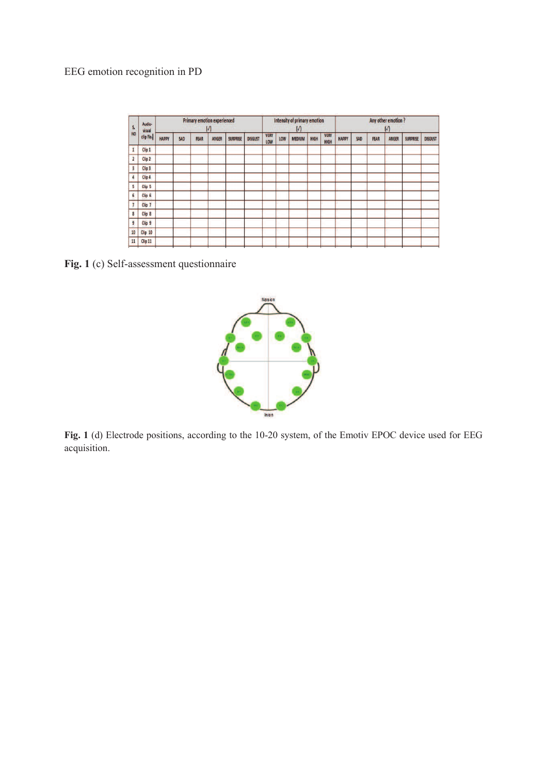# EEG emotion recognition in PD

| S.                      | Audio-<br>visual<br>clip No. | <b>Primary emotion experienced</b><br>$\sqrt{ }$ |            |             |       |                 | Intensity of primary emotion<br>$\sqrt{ }$ |                    |     |               | Any other emotion?<br>$\sqrt{ }$ |                     |              |     |             |       |                 |                |
|-------------------------|------------------------------|--------------------------------------------------|------------|-------------|-------|-----------------|--------------------------------------------|--------------------|-----|---------------|----------------------------------|---------------------|--------------|-----|-------------|-------|-----------------|----------------|
| <b>NO</b>               |                              | <b>НАРРҮ</b>                                     | <b>SAD</b> | <b>FEAR</b> | ANGER | <b>SURPRISE</b> | <b>DISGUST</b>                             | <b>VERY</b><br>LOW | LOW | <b>MEDIUM</b> | HIGH                             | <b>VERY</b><br>HIGH | <b>HAPPY</b> | SAD | <b>FEAR</b> | ANGER | <b>SURPRISE</b> | <b>DISGUST</b> |
|                         | Clip 1                       |                                                  |            |             |       |                 |                                            |                    |     |               |                                  |                     |              |     |             |       |                 |                |
| $\overline{\mathbf{2}}$ | Clip <sub>2</sub>            |                                                  |            |             |       |                 |                                            |                    |     |               |                                  |                     |              |     |             |       |                 |                |
| E                       | Clip <sub>3</sub>            |                                                  |            |             |       |                 |                                            |                    |     |               |                                  |                     |              |     |             |       |                 |                |
|                         | Clip 4                       |                                                  |            |             |       |                 |                                            |                    |     |               |                                  |                     |              |     |             |       |                 |                |
| 5                       | Clip <sub>5</sub>            |                                                  |            |             |       |                 |                                            |                    |     |               |                                  |                     |              |     |             |       |                 |                |
| 6                       | Clip <sub>6</sub>            |                                                  |            |             |       |                 |                                            |                    |     |               |                                  |                     |              |     |             |       |                 |                |
|                         | Clip <sub>7</sub>            |                                                  |            |             |       |                 |                                            |                    |     |               |                                  |                     |              |     |             |       |                 |                |
| 8                       | Clip <sub>8</sub>            |                                                  |            |             |       |                 |                                            |                    |     |               |                                  |                     |              |     |             |       |                 |                |
| 9                       | Clip <sub>9</sub>            |                                                  |            |             |       |                 |                                            |                    |     |               |                                  |                     |              |     |             |       |                 |                |
| 10                      | Clip 10                      |                                                  |            |             |       |                 |                                            |                    |     |               |                                  |                     |              |     |             |       |                 |                |
| 11                      | Clip 11                      |                                                  |            |             |       |                 |                                            |                    |     |               |                                  |                     |              |     |             |       |                 |                |
|                         |                              |                                                  |            |             |       |                 |                                            |                    |     |               |                                  |                     |              |     |             |       |                 |                |

8 **Fig. 1** (c) Self-assessment questionnaire



Fig. 1 (d) Electrode positions, according to the 10-20 system, of the Emotiv EPOC device used for EEG acquisition.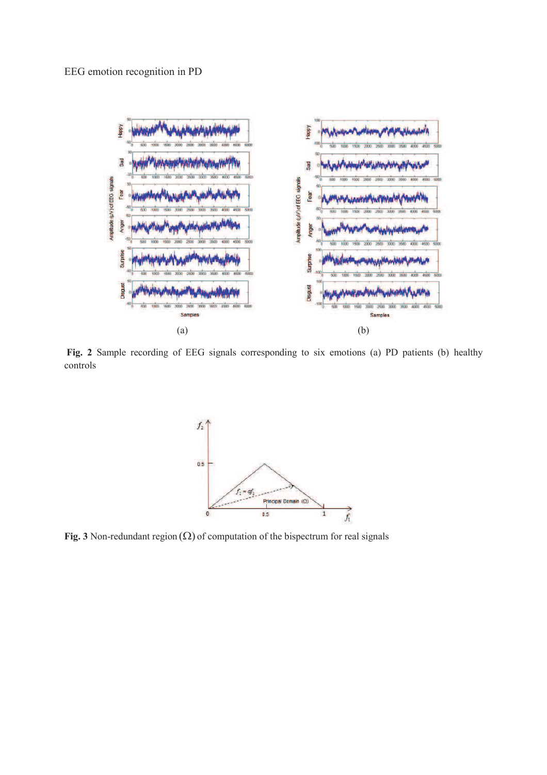

12 **Fig. 2** Sample recording of EEG signals corresponding to six emotions (a) PD patients (b) healthy controls



Fig. 3 Non-redundant region  $(\Omega)$  of computation of the bispectrum for real signals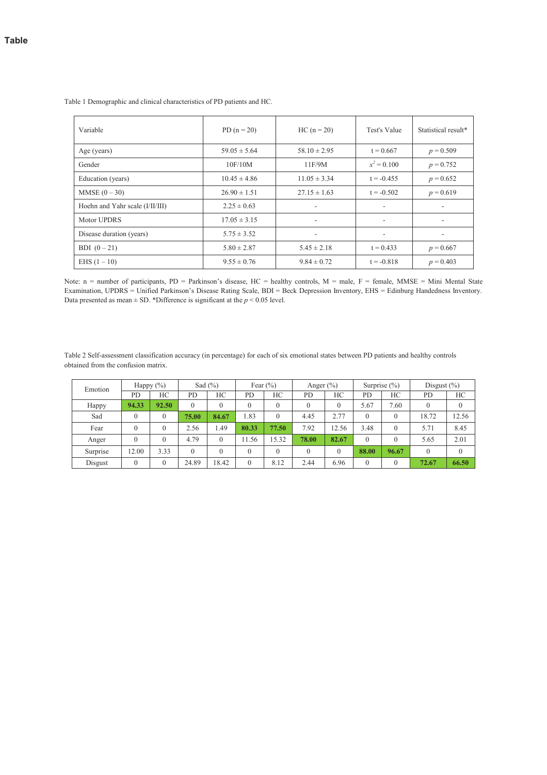| Variable                        | PD $(n = 20)$    | $HC (n = 20)$            | Test's Value             | Statistical result* |
|---------------------------------|------------------|--------------------------|--------------------------|---------------------|
| Age (years)                     | $59.05 \pm 5.64$ | $58.10 \pm 2.95$         | $t = 0.667$              | $p = 0.509$         |
| Gender                          | 10F/10M          | 11F/9M                   | $x^2 = 0.100$            | $p = 0.752$         |
| Education (years)               | $10.45 \pm 4.86$ | $11.05 \pm 3.34$         | $t = -0.455$             | $p = 0.652$         |
| $MMSE (0 - 30)$                 | $26.90 \pm 1.51$ | $27.15 \pm 1.63$         | $t = -0.502$             | $p = 0.619$         |
| Hoehn and Yahr scale (I/II/III) | $2.25 \pm 0.63$  | ۰                        |                          |                     |
| Motor UPDRS                     | $17.05 \pm 3.15$ | ٠                        |                          |                     |
| Disease duration (years)        | $5.75 \pm 3.52$  | $\overline{\phantom{a}}$ | $\overline{\phantom{a}}$ |                     |
| BDI $(0-21)$                    | $5.80 \pm 2.87$  | $5.45 \pm 2.18$          | $t = 0.433$              | $p = 0.667$         |
| EHS $(1 - 10)$                  | $9.55 \pm 0.76$  | $9.84 \pm 0.72$          | $t = -0.818$             | $p = 0.403$         |

1 Table 1 Demographic and clinical characteristics of PD patients and HC.

Note: n = number of participants, PD = Parkinson's disease, HC = healthy controls, M = male, F = female, MMSE = Mini Mental State Examination, UPDRS = Unified Parkinson's Disease Rating Scale, BDI = Beck Depression Inventory, EHS = Edinburg Handedness Inventory. Data presented as mean  $\pm$  SD. \*Difference is significant at the  $p < 0.05$  level.

8 Table 2 Self-assessment classification accuracy (in percentage) for each of six emotional states between PD patients and healthy controls obtained from the confusion matrix.

| Emotion  | Happy $(\%)$ |          | Sad $(\% )$ |          | Fear $(\% )$ |              | Anger $(\% )$ |          | Surprise $(\% )$ |          | Disgust $(\%)$ |          |
|----------|--------------|----------|-------------|----------|--------------|--------------|---------------|----------|------------------|----------|----------------|----------|
|          | <b>PD</b>    | HС       | PD          | HС       | <b>PD</b>    | НC           | <b>PD</b>     | HС       | <b>PD</b>        | НC       | PD             | НC       |
| Happy    | 94.33        | 92.50    | 0           |          |              | $\mathbf{0}$ | $\left($      | $\theta$ | 5.67             | 7.60     | $\Omega$       | $\theta$ |
| Sad      |              | $\theta$ | 75.00       | 84.67    | 1.83         | $\Omega$     | 4.45          | 2.77     | $\theta$         | $\theta$ | 18.72          | 12.56    |
| Fear     | 0            | $\theta$ | 2.56        | 1.49     | 80.33        | 77.50        | 7.92          | 12.56    | 3.48             | $\theta$ | 5.71           | 8.45     |
| Anger    | $\Omega$     | $\theta$ | 4.79        | $\theta$ | 11.56        | 15.32        | 78.00         | 82.67    | $\Omega$         | $\theta$ | 5.65           | 2.01     |
| Surprise | 12.00        | 3.33     | 0           | $\theta$ |              | $\mathbf{0}$ | $\theta$      | $\Omega$ | 88.00            | 96.67    | $\Omega$       | $\Omega$ |
| Disgust  | $\Omega$     | $\theta$ | 24.89       | 18.42    | $\Omega$     | 8.12         | 2.44          | 6.96     | $\Omega$         | $\theta$ | 72.67          | 66.50    |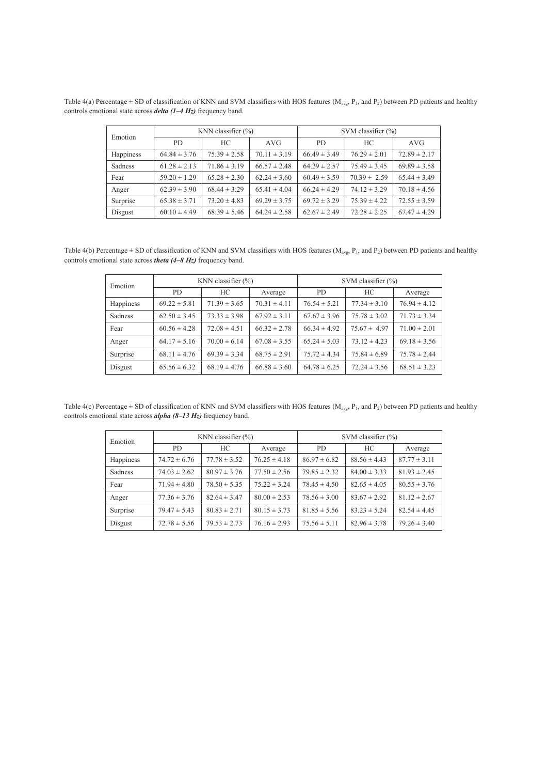Table 4(a) Percentage  $\pm$  SD of classification of KNN and SVM classifiers with HOS features (M<sub>avg</sub>, P<sub>1</sub>, and P<sub>2</sub>) between PD patients and healthy 2 controls emotional state across *delta (1ñ4 Hz)* frequency band.

| Emotion   |                  | KNN classifier $(\% )$ |                  | SVM classifier $(\% )$ |                  |                  |  |  |
|-----------|------------------|------------------------|------------------|------------------------|------------------|------------------|--|--|
|           | PD.              | HC                     | AVG              | PD.                    | HС               | <b>AVG</b>       |  |  |
| Happiness | $64.84 \pm 3.76$ | $75.39 \pm 2.58$       | $70.11 \pm 3.19$ | $66.49 \pm 3.49$       | $76.29 \pm 2.01$ | $72.89 \pm 2.17$ |  |  |
| Sadness   | $61.28 \pm 2.13$ | $71.86 \pm 3.19$       | $66.57 \pm 2.48$ | $64.29 \pm 2.57$       | $75.49 \pm 3.45$ | $69.89 \pm 3.58$ |  |  |
| Fear      | $59.20 \pm 1.29$ | $65.28 \pm 2.30$       | $62.24 \pm 3.60$ | $60.49 \pm 3.59$       | $70.39 \pm 2.59$ | $65.44 \pm 3.49$ |  |  |
| Anger     | $62.39 \pm 3.90$ | $68.44 \pm 3.29$       | $65.41 \pm 4.04$ | $66.24 \pm 4.29$       | $74.12 \pm 3.29$ | $70.18 \pm 4.56$ |  |  |
| Surprise  | $65.38 \pm 3.71$ | $73.20 \pm 4.83$       | $69.29 \pm 3.75$ | $69.72 \pm 3.29$       | $75.39 \pm 4.22$ | $72.55 \pm 3.59$ |  |  |
| Disgust   | $60.10 \pm 4.49$ | $68.39 \pm 5.46$       | $64.24 \pm 2.58$ | $62.67 \pm 2.49$       | $72.28 \pm 2.25$ | $67.47 \pm 4.29$ |  |  |

Table 4(b) Percentage  $\pm$  SD of classification of KNN and SVM classifiers with HOS features (M<sub>avg</sub>, P<sub>1</sub>, and P<sub>2</sub>) between PD patients and healthy 6 controls emotional state across *theta (4ñ8 Hz)* frequency band.

| Emotion   |                  | KNN classifier $(\% )$ |                  | SVM classifier $(\% )$ |                  |                  |  |  |
|-----------|------------------|------------------------|------------------|------------------------|------------------|------------------|--|--|
|           | PD.              | HС                     | Average          | PD.                    | HC               | Average          |  |  |
| Happiness | $69.22 \pm 5.81$ | $71.39 \pm 3.65$       | $70.31 \pm 4.11$ | $76.54 \pm 5.21$       | $77.34 \pm 3.10$ | $76.94 \pm 4.12$ |  |  |
| Sadness   | $62.50 \pm 3.45$ | $73.33 \pm 3.98$       | $67.92 \pm 3.11$ | $67.67 \pm 3.96$       | $75.78 \pm 3.02$ | $71.73 \pm 3.34$ |  |  |
| Fear      | $60.56 \pm 4.28$ | $72.08 \pm 4.51$       | $66.32 \pm 2.78$ | $66.34 \pm 4.92$       | $75.67 \pm 4.97$ | $71.00 \pm 2.01$ |  |  |
| Anger     | $64.17 \pm 5.16$ | $70.00 \pm 6.14$       | $67.08 \pm 3.55$ | $65.24 \pm 5.03$       | $73.12 \pm 4.23$ | $69.18 \pm 3.56$ |  |  |
| Surprise  | $68.11 \pm 4.76$ | $69.39 \pm 3.34$       | $68.75 \pm 2.91$ | $75.72 \pm 4.34$       | $75.84 \pm 6.89$ | $75.78 \pm 2.44$ |  |  |
| Disgust   | $65.56 \pm 6.32$ | $68.19 \pm 4.76$       | $66.88 \pm 3.60$ | $64.78 \pm 6.25$       | $72.24 \pm 3.56$ | $68.51 \pm 3.23$ |  |  |

Table 4(c) Percentage  $\pm$  SD of classification of KNN and SVM classifiers with HOS features (M<sub>avg</sub>, P<sub>1</sub>, and P<sub>2</sub>) between PD patients and healthy controls emotional state across *alpha* (8–13 Hz) frequency band.

| Emotion   |                  | KNN classifier $(\% )$ |                  | SVM classifier $(\% )$ |                  |                  |  |  |
|-----------|------------------|------------------------|------------------|------------------------|------------------|------------------|--|--|
|           | PD.              | HС                     | Average          | PD.                    | HC               | Average          |  |  |
| Happiness | $74.72 \pm 6.76$ | $77.78 \pm 3.52$       | $76.25 \pm 4.18$ | $86.97 \pm 6.82$       | $88.56 \pm 4.43$ | $87.77 \pm 3.11$ |  |  |
| Sadness   | $74.03 \pm 2.62$ | $80.97 \pm 3.76$       | $77.50 \pm 2.56$ | $79.85 \pm 2.32$       | $84.00 \pm 3.33$ | $81.93 \pm 2.45$ |  |  |
| Fear      | $71.94 \pm 4.80$ | $78.50 \pm 5.35$       | $75.22 \pm 3.24$ | $78.45 \pm 4.50$       | $82.65 \pm 4.05$ | $80.55 \pm 3.76$ |  |  |
| Anger     | $77.36 \pm 3.76$ | $82.64 \pm 3.47$       | $80.00 \pm 2.53$ | $78.56 \pm 3.00$       | $83.67 \pm 2.92$ | $81.12 \pm 2.67$ |  |  |
| Surprise  | $79.47 \pm 5.43$ | $80.83 \pm 2.71$       | $80.15 \pm 3.73$ | $81.85 \pm 5.56$       | $83.23 \pm 5.24$ | $82.54 \pm 4.45$ |  |  |
| Disgust   | $72.78 \pm 5.56$ | $79.53 \pm 2.73$       | $76.16 \pm 2.93$ | $75.56 \pm 5.11$       | $82.96 \pm 3.78$ | $79.26 \pm 3.40$ |  |  |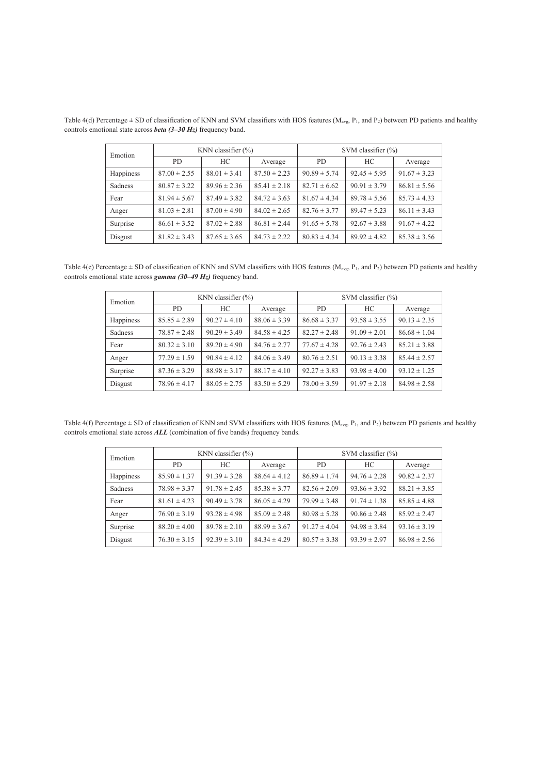| Emotion   |                  | KNN classifier $(\% )$ |                  | SVM classifier $(\% )$ |                  |                  |  |  |
|-----------|------------------|------------------------|------------------|------------------------|------------------|------------------|--|--|
|           | PD.              | HС                     | Average          | PD.                    | HC               | Average          |  |  |
| Happiness | $87.00 \pm 2.55$ | $88.01 \pm 3.41$       | $87.50 \pm 2.23$ | $90.89 \pm 5.74$       | $92.45 \pm 5.95$ | $91.67 \pm 3.23$ |  |  |
| Sadness   | $80.87 \pm 3.22$ | $89.96 \pm 2.36$       | $85.41 \pm 2.18$ | $82.71 \pm 6.62$       | $90.91 \pm 3.79$ | $86.81 \pm 5.56$ |  |  |
| Fear      | $81.94 \pm 5.67$ | $87.49 \pm 3.82$       | $84.72 \pm 3.63$ | $81.67 \pm 4.34$       | $89.78 \pm 5.56$ | $85.73 \pm 4.33$ |  |  |
| Anger     | $81.03 \pm 2.81$ | $87.00 \pm 4.90$       | $84.02 \pm 2.65$ | $82.76 \pm 3.77$       | $89.47 \pm 5.23$ | $86.11 \pm 3.43$ |  |  |
| Surprise  | $86.61 \pm 3.52$ | $87.02 \pm 2.88$       | $86.81 \pm 2.44$ | $91.65 \pm 5.78$       | $92.67 \pm 3.88$ | $91.67 \pm 4.22$ |  |  |
| Disgust   | $81.82 \pm 3.43$ | $87.65 \pm 3.65$       | $84.73 \pm 2.22$ | $80.83 \pm 4.34$       | $89.92 \pm 4.82$ | $85.38 \pm 3.56$ |  |  |

Table 4(d) Percentage  $\pm$  SD of classification of KNN and SVM classifiers with HOS features ( $M_{avg}$ ,  $P_1$ , and  $P_2$ ) between PD patients and healthy 3 controls emotional state across *beta (3ñ30 Hz)* frequency band.

Table 4(e) Percentage  $\pm$  SD of classification of KNN and SVM classifiers with HOS features (M<sub>avg</sub>, P<sub>1</sub>, and P<sub>2</sub>) between PD patients and healthy 7 controls emotional state across *gamma (30ñ49 Hz)* frequency band.

| Emotion   |                  | KNN classifier $(\% )$ |                  | SVM classifier $(\% )$ |                  |                  |  |  |
|-----------|------------------|------------------------|------------------|------------------------|------------------|------------------|--|--|
|           | PD.              | HС                     | Average          | PD.                    | HС               | Average          |  |  |
| Happiness | $85.85 \pm 2.89$ | $90.27 \pm 4.10$       | $88.06 \pm 3.39$ | $86.68 \pm 3.37$       | $93.58 \pm 3.55$ | $90.13 \pm 2.35$ |  |  |
| Sadness   | $78.87 \pm 2.48$ | $90.29 \pm 3.49$       | $84.58 \pm 4.25$ | $82.27 \pm 2.48$       | $91.09 \pm 2.01$ | $86.68 \pm 1.04$ |  |  |
| Fear      | $80.32 \pm 3.10$ | $89.20 \pm 4.90$       | $84.76 \pm 2.77$ | $77.67 \pm 4.28$       | $92.76 \pm 2.43$ | $85.21 \pm 3.88$ |  |  |
| Anger     | $77.29 \pm 1.59$ | $90.84 \pm 4.12$       | $84.06 \pm 3.49$ | $80.76 \pm 2.51$       | $90.13 \pm 3.38$ | $85.44 \pm 2.57$ |  |  |
| Surprise  | $87.36 \pm 3.29$ | $88.98 \pm 3.17$       | $88.17 \pm 4.10$ | $92.27 \pm 3.83$       | $93.98 \pm 4.00$ | $93.12 \pm 1.25$ |  |  |
| Disgust   | $78.96 \pm 4.17$ | $88.05 \pm 2.75$       | $83.50 \pm 5.29$ | $78.00 \pm 3.59$       | $91.97 \pm 2.18$ | $84.98 \pm 2.58$ |  |  |

Table 4(f) Percentage  $\pm$  SD of classification of KNN and SVM classifiers with HOS features ( $M_{avg}$ ,  $P_1$ , and  $P_2$ ) between PD patients and healthy controls emotional state across **ALL** (combination of five bands) frequency bands.

| Emotion   |                  | KNN classifier $(\% )$ |                  | SVM classifier $(\% )$ |                  |                  |  |  |  |
|-----------|------------------|------------------------|------------------|------------------------|------------------|------------------|--|--|--|
|           | PD<br>HС         |                        | Average          | PD.                    | HC               | Average          |  |  |  |
| Happiness | $85.90 \pm 1.37$ | $91.39 \pm 3.28$       | $88.64 \pm 4.12$ | $86.89 \pm 1.74$       | $94.76 \pm 2.28$ | $90.82 \pm 2.37$ |  |  |  |
| Sadness   | $78.98 \pm 3.37$ | $91.78 \pm 2.45$       | $85.38 \pm 3.77$ | $82.56 \pm 2.09$       | $93.86 \pm 3.92$ | $88.21 \pm 3.85$ |  |  |  |
| Fear      | $81.61 \pm 4.23$ | $90.49 \pm 3.78$       | $86.05 \pm 4.29$ | $79.99 \pm 3.48$       | $91.74 \pm 1.38$ | $85.85 \pm 4.88$ |  |  |  |
| Anger     | $76.90 \pm 3.19$ | $93.28 \pm 4.98$       | $85.09 \pm 2.48$ | $80.98 \pm 5.28$       | $90.86 \pm 2.48$ | $85.92 \pm 2.47$ |  |  |  |
| Surprise  | $88.20 \pm 4.00$ | $89.78 \pm 2.10$       | $88.99 \pm 3.67$ | $91.27 \pm 4.04$       | $94.98 \pm 3.84$ | $93.16 \pm 3.19$ |  |  |  |
| Disgust   | $76.30 \pm 3.15$ | $92.39 \pm 3.10$       | $84.34 \pm 4.29$ | $80.57 \pm 3.38$       | $93.39 \pm 2.97$ | $86.98 \pm 2.56$ |  |  |  |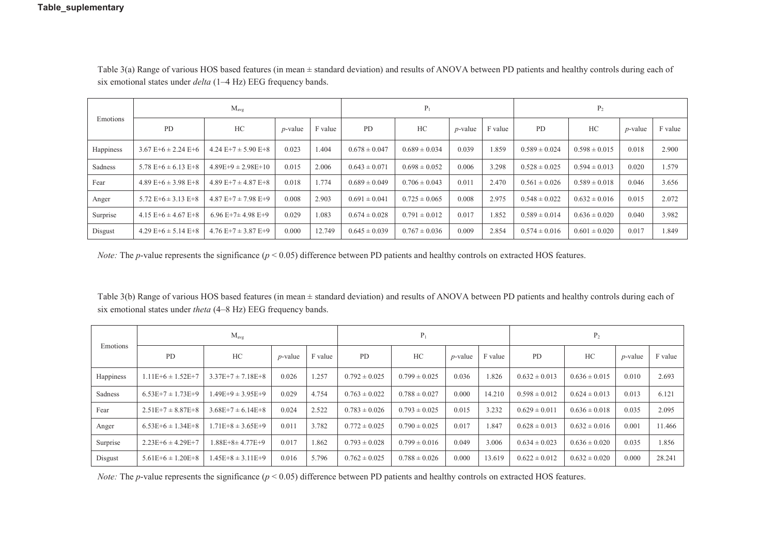| Emotions  |                           | $M_{\text{avg}}$          |            | $P_1$   |                   |                   | P <sub>2</sub> |         |                   |                   |                 |         |
|-----------|---------------------------|---------------------------|------------|---------|-------------------|-------------------|----------------|---------|-------------------|-------------------|-----------------|---------|
|           | <b>PD</b>                 | HC                        | $p$ -value | F value | PD                | HC                | $p$ -value     | F value | PD                | HC                | <i>p</i> -value | F value |
| Happiness | $3.67 E+6 \pm 2.24 E+6$   | $4.24 E+7 \pm 5.90 E+8$   | 0.023      | 1.404   | $0.678 \pm 0.047$ | $0.689 \pm 0.034$ | 0.039          | 1.859   | $0.589 \pm 0.024$ | $0.598 \pm 0.015$ | 0.018           | 2.900   |
| Sadness   | 5.78 E+6 $\pm$ 6.13 E+8   | $4.89E+9 \pm 2.98E+10$    | 0.015      | 2.006   | $0.643 \pm 0.071$ | $0.698 \pm 0.052$ | 0.006          | 3.298   | $0.528 \pm 0.025$ | $0.594 \pm 0.013$ | 0.020           | 1.579   |
| Fear      | 4.89 E+6 $\pm$ 3.98 E+8   | $4.89 E+7 \pm 4.87 E+8$   | 0.018      | 1.774   | $0.689 \pm 0.049$ | $0.706 \pm 0.043$ | 0.011          | 2.470   | $0.561 \pm 0.026$ | $0.589 \pm 0.018$ | 0.046           | 3.656   |
| Anger     | $5.72$ E+6 $\pm$ 3.13 E+8 | $4.87 E+7 \pm 7.98 E+9$   | 0.008      | 2.903   | $0.691 \pm 0.041$ | $0.725 \pm 0.065$ | 0.008          | 2.975   | $0.548 \pm 0.022$ | $0.632 \pm 0.016$ | 0.015           | 2.072   |
| Surprise  | $4.15 E+6 \pm 4.67 E+8$   | $6.96 E+7+4.98 E+9$       | 0.029      | 1.083   | $0.674 \pm 0.028$ | $0.791 \pm 0.012$ | 0.017          | 1.852   | $0.589 \pm 0.014$ | $0.636 \pm 0.020$ | 0.040           | 3.982   |
| Disgust   | $4.29 E+6 \pm 5.14 E+8$   | $4.76$ E+7 $\pm$ 3.87 E+9 | 0.000      | 12.749  | $0.645 \pm 0.039$ | $0.767 \pm 0.036$ | 0.009          | 2.854   | $0.574 \pm 0.016$ | $0.601 \pm 0.020$ | 0.017           | 1.849   |

 Table 3(a) Range of various HOS based features (in mean ± standard deviation) and results of ANOVA between PD patients and healthy controls during each of six emotional states under *delta* (1–4 Hz) EEG frequency bands.

*Note:* The *p*-value represents the significance ( $p < 0.05$ ) difference between PD patients and healthy controls on extracted HOS features.

 Table 3(b) Range of various HOS based features (in mean ± standard deviation) and results of ANOVA between PD patients and healthy controls during each of six emotional states under *theta* (4–8 Hz) EEG frequency bands.

| Emotions  |                       | $M_{\text{avg}}$          |            | $P_1$   |                   |                   | P <sub>2</sub>  |         |                   |                   |            |         |
|-----------|-----------------------|---------------------------|------------|---------|-------------------|-------------------|-----------------|---------|-------------------|-------------------|------------|---------|
|           | <b>PD</b>             | HС                        | $p$ -value | F value | <b>PD</b>         | HC                | <i>p</i> -value | F value | <b>PD</b>         | HC                | $p$ -value | F value |
| Happiness | $1.11E+6 \pm 1.52E+7$ | $3.37E+7 \pm 7.18E+8$     | 0.026      | 1.257   | $0.792 \pm 0.025$ | $0.799 \pm 0.025$ | 0.036           | 1.826   | $0.632 \pm 0.013$ | $0.636 \pm 0.015$ | 0.010      | 2.693   |
| Sadness   | $6.53E+7 \pm 1.73E+9$ | $1.49E+9 \pm 3.95E+9$     | 0.029      | 4.754   | $0.763 \pm 0.022$ | $0.788 \pm 0.027$ | 0.000           | 14.210  | $0.598 \pm 0.012$ | $0.624 \pm 0.013$ | 0.013      | 6.121   |
| Fear      | $2.51E+7 \pm 8.87E+8$ | $3.68E+7 \pm 6.14E+8$     | 0.024      | 2.522   | $0.783 \pm 0.026$ | $0.793 \pm 0.025$ | 0.015           | 3.232   | $0.629 \pm 0.011$ | $0.636 \pm 0.018$ | 0.035      | 2.095   |
| Anger     | $6.53E+6 \pm 1.34E+8$ | $1.71E + 8 \pm 3.65E + 9$ | 0.011      | 3.782   | $0.772 \pm 0.025$ | $0.790 \pm 0.025$ | 0.017           | 1.847   | $0.628 \pm 0.013$ | $0.632 \pm 0.016$ | 0.001      | 11.466  |
| Surprise  | $2.23E+6 \pm 4.29E+7$ | 1.88E+8± 4.77E+9          | 0.017      | 1.862   | $0.793 \pm 0.028$ | $0.799 \pm 0.016$ | 0.049           | 3.006   | $0.634 \pm 0.023$ | $0.636 \pm 0.020$ | 0.035      | 1.856   |
| Disgust   | $5.61E+6 \pm 1.20E+8$ | $1.45E+8 \pm 3.11E+9$     | 0.016      | 5.796   | $0.762 \pm 0.025$ | $0.788 \pm 0.026$ | 0.000           | 13.619  | $0.622 \pm 0.012$ | $0.632 \pm 0.020$ | 0.000      | 28.241  |

*Note:* The *p*-value represents the significance ( $p < 0.05$ ) difference between PD patients and healthy controls on extracted HOS features.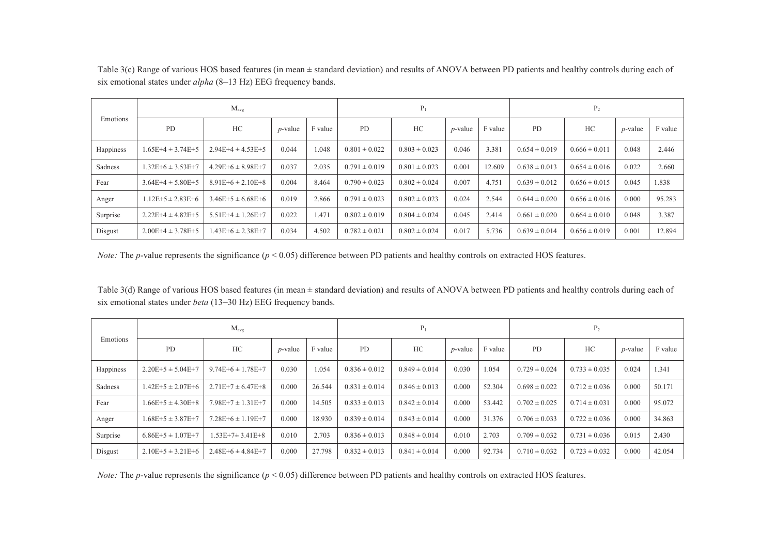| ) Range of various HOS based features (in mean ± standard deviation) and results of ANOVA between PD patients and healthy controls during each of<br>Fable 3(c) |
|-----------------------------------------------------------------------------------------------------------------------------------------------------------------|
| six emotional states under <i>alpha</i> (8–13 Hz) EEG frequency bands.                                                                                          |

| Emotions  | $M_{\text{avg}}$      |                       |                 |         |                   | $P_1$             |            |         | P <sub>2</sub>    |                   |                 |         |
|-----------|-----------------------|-----------------------|-----------------|---------|-------------------|-------------------|------------|---------|-------------------|-------------------|-----------------|---------|
|           | <b>PD</b>             | HC                    | <i>p</i> -value | F value | PD                | HC                | $p$ -value | F value | <b>PD</b>         | HC                | <i>p</i> -value | F value |
| Happiness | $1.65E+4 \pm 3.74E+5$ | $2.94E+4 \pm 4.53E+5$ | 0.044           | .048    | $0.801 \pm 0.022$ | $0.803 \pm 0.023$ | 0.046      | 3.381   | $0.654 \pm 0.019$ | $0.666 \pm 0.011$ | 0.048           | 2.446   |
| Sadness   | $1.32E+6 \pm 3.53E+7$ | $4.29E+6 \pm 8.98E+7$ | 0.037           | 2.035   | $0.791 \pm 0.019$ | $0.801 \pm 0.023$ | 0.001      | 12.609  | $0.638 \pm 0.013$ | $0.654 \pm 0.016$ | 0.022           | 2.660   |
| Fear      | $3.64E+4 \pm 5.80E+5$ | $8.91E+6 \pm 2.10E+8$ | 0.004           | 8.464   | $0.790 \pm 0.023$ | $0.802 \pm 0.024$ | 0.007      | 4.751   | $0.639 \pm 0.012$ | $0.656 \pm 0.015$ | 0.045           | 1.838   |
| Anger     | $1.12E+5 \pm 2.83E+6$ | $3.46E+5 \pm 6.68E+6$ | 0.019           | 2.866   | $0.791 \pm 0.023$ | $0.802 \pm 0.023$ | 0.024      | 2.544   | $0.644 \pm 0.020$ | $0.656 \pm 0.016$ | 0.000           | 95.283  |
| Surprise  | $2.22E+4 \pm 4.82E+5$ | $5.51E+4 \pm 1.26E+7$ | 0.022           | 471     | $0.802 \pm 0.019$ | $0.804 \pm 0.024$ | 0.045      | 2.414   | $0.661 \pm 0.020$ | $0.664 \pm 0.010$ | 0.048           | 3.387   |
| Disgust   | $2.00E+4 \pm 3.78E+5$ | $1.43E+6 \pm 2.38E+7$ | 0.034           | 4.502   | $0.782 \pm 0.021$ | $0.802 \pm 0.024$ | 0.017      | 5.736   | $0.639 \pm 0.014$ | $0.656 \pm 0.019$ | 0.001           | 12.894  |

*Note:* The *p*-value represents the significance ( $p < 0.05$ ) difference between PD patients and healthy controls on extracted HOS features.

 Table 3(d) Range of various HOS based features (in mean ± standard deviation) and results of ANOVA between PD patients and healthy controls during each of six emotional states under *beta* (13–30 Hz) EEG frequency bands.

| Emotions  | $M_{\text{avg}}$      |                           |            |         |                   | $P_1$             |            |         | $P_2$             |                   |            |         |
|-----------|-----------------------|---------------------------|------------|---------|-------------------|-------------------|------------|---------|-------------------|-------------------|------------|---------|
|           | <b>PD</b>             | HC                        | $p$ -value | F value | PD                | HC                | $p$ -value | F value | <b>PD</b>         | HC                | $p$ -value | F value |
| Happiness | $2.20E+5 \pm 5.04E+7$ | $9.74E+6 \pm 1.78E+7$     | 0.030      | .054    | $0.836 \pm 0.012$ | $0.849 \pm 0.014$ | 0.030      | 1.054   | $0.729 \pm 0.024$ | $0.733 \pm 0.035$ | 0.024      | 1.341   |
| Sadness   | $1.42E+5 \pm 2.07E+6$ | $2.71E+7 \pm 6.47E+8$     | 0.000      | 26.544  | $0.831 \pm 0.014$ | $0.846 \pm 0.013$ | 0.000      | 52.304  | $0.698 \pm 0.022$ | $0.712 \pm 0.036$ | 0.000      | 50.171  |
| Fear      | $1.66E+5 \pm 4.30E+8$ | $7.98E+7 \pm 1.31E+7$     | 0.000      | 14.505  | $0.833 \pm 0.013$ | $0.842 \pm 0.014$ | 0.000      | 53.442  | $0.702 \pm 0.025$ | $0.714 \pm 0.031$ | 0.000      | 95.072  |
| Anger     | $1.68E+5 \pm 3.87E+7$ | $7.28E + 6 \pm 1.19E + 7$ | 0.000      | 18.930  | $0.839 \pm 0.014$ | $0.843 \pm 0.014$ | 0.000      | 31.376  | $0.706 \pm 0.033$ | $0.722 \pm 0.036$ | 0.000      | 34.863  |
| Surprise  | $6.86E+5 \pm 1.07E+7$ | $1.53E+7\pm 3.41E+8$      | 0.010      | 2.703   | $0.836 \pm 0.013$ | $0.848 \pm 0.014$ | 0.010      | 2.703   | $0.709 \pm 0.032$ | $0.731 \pm 0.036$ | 0.015      | 2.430   |
| Disgust   | $2.10E+5 \pm 3.21E+6$ | $2.48E+6 \pm 4.84E+7$     | 0.000      | 27.798  | $0.832 \pm 0.013$ | $0.841 \pm 0.014$ | 0.000      | 92.734  | $0.710 \pm 0.032$ | $0.723 \pm 0.032$ | 0.000      | 42.054  |

*Note:* The *p*-value represents the significance ( $p < 0.05$ ) difference between PD patients and healthy controls on extracted HOS features.